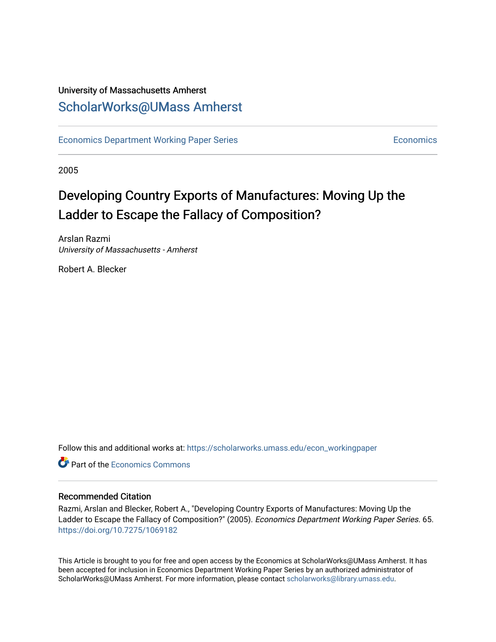### University of Massachusetts Amherst [ScholarWorks@UMass Amherst](https://scholarworks.umass.edu/)

[Economics Department Working Paper Series](https://scholarworks.umass.edu/econ_workingpaper) **Economics** [Economics](https://scholarworks.umass.edu/economics) Economics

2005

## Developing Country Exports of Manufactures: Moving Up the Ladder to Escape the Fallacy of Composition?

Arslan Razmi University of Massachusetts - Amherst

Robert A. Blecker

Follow this and additional works at: [https://scholarworks.umass.edu/econ\\_workingpaper](https://scholarworks.umass.edu/econ_workingpaper?utm_source=scholarworks.umass.edu%2Fecon_workingpaper%2F65&utm_medium=PDF&utm_campaign=PDFCoverPages) 

**C**<sup> $\bullet$ </sup> Part of the [Economics Commons](http://network.bepress.com/hgg/discipline/340?utm_source=scholarworks.umass.edu%2Fecon_workingpaper%2F65&utm_medium=PDF&utm_campaign=PDFCoverPages)

#### Recommended Citation

Razmi, Arslan and Blecker, Robert A., "Developing Country Exports of Manufactures: Moving Up the Ladder to Escape the Fallacy of Composition?" (2005). Economics Department Working Paper Series. 65. <https://doi.org/10.7275/1069182>

This Article is brought to you for free and open access by the Economics at ScholarWorks@UMass Amherst. It has been accepted for inclusion in Economics Department Working Paper Series by an authorized administrator of ScholarWorks@UMass Amherst. For more information, please contact [scholarworks@library.umass.edu.](mailto:scholarworks@library.umass.edu)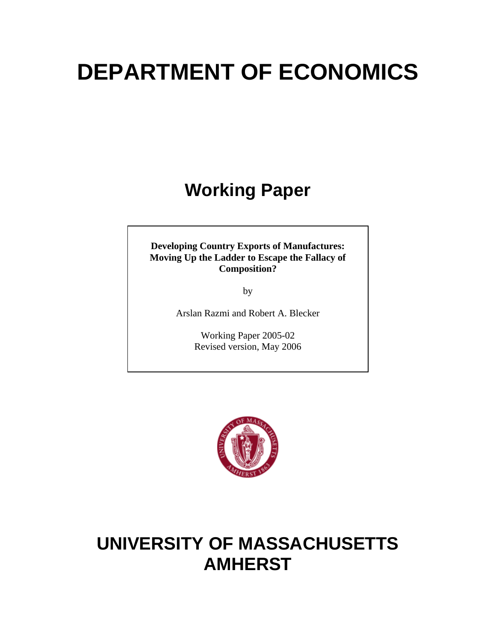# **DEPARTMENT OF ECONOMICS**

# **Working Paper**

**Developing Country Exports of Manufactures: Moving Up the Ladder to Escape the Fallacy of Composition?**

by

Arslan Razmi and Robert A. Blecker

Working Paper 2005-02 Revised version, May 2006



# **UNIVERSITY OF MASSACHUSETTS AMHERST**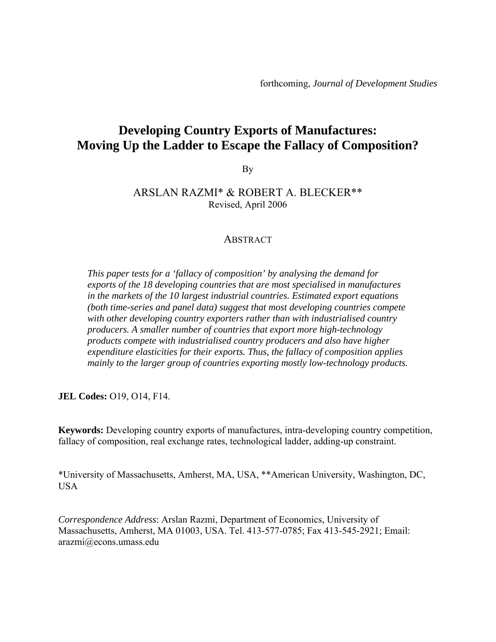### **Developing Country Exports of Manufactures: Moving Up the Ladder to Escape the Fallacy of Composition?**

By

### ARSLAN RAZMI\* & ROBERT A. BLECKER\*\* Revised, April 2006

#### ABSTRACT

*This paper tests for a 'fallacy of composition' by analysing the demand for exports of the 18 developing countries that are most specialised in manufactures in the markets of the 10 largest industrial countries. Estimated export equations (both time-series and panel data) suggest that most developing countries compete with other developing country exporters rather than with industrialised country producers. A smaller number of countries that export more high-technology products compete with industrialised country producers and also have higher expenditure elasticities for their exports. Thus, the fallacy of composition applies mainly to the larger group of countries exporting mostly low-technology products.* 

**JEL Codes:** O19, O14, F14.

**Keywords:** Developing country exports of manufactures, intra-developing country competition, fallacy of composition, real exchange rates, technological ladder, adding-up constraint.

\*University of Massachusetts, Amherst, MA, USA, \*\*American University, Washington, DC, USA

*Correspondence Address*: Arslan Razmi, Department of Economics, University of Massachusetts, Amherst, MA 01003, USA. Tel. 413-577-0785; Fax 413-545-2921; Email: arazmi@econs.umass.edu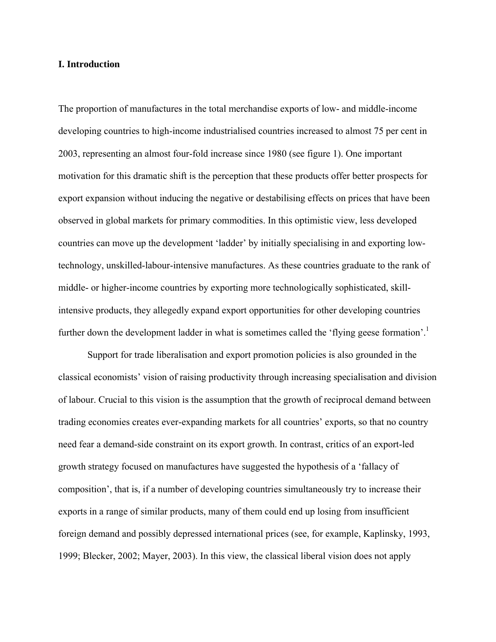#### **I. Introduction**

The proportion of manufactures in the total merchandise exports of low- and middle-income developing countries to high-income industrialised countries increased to almost 75 per cent in 2003, representing an almost four-fold increase since 1980 (see figure 1). One important motivation for this dramatic shift is the perception that these products offer better prospects for export expansion without inducing the negative or destabilising effects on prices that have been observed in global markets for primary commodities. In this optimistic view, less developed countries can move up the development 'ladder' by initially specialising in and exporting lowtechnology, unskilled-labour-intensive manufactures. As these countries graduate to the rank of middle- or higher-income countries by exporting more technologically sophisticated, skillintensive products, they allegedly expand export opportunities for other developing countries further down the development ladder in what is sometimes called the 'flying geese formation'.<sup>1</sup>

 Support for trade liberalisation and export promotion policies is also grounded in the classical economists' vision of raising productivity through increasing specialisation and division of labour. Crucial to this vision is the assumption that the growth of reciprocal demand between trading economies creates ever-expanding markets for all countries' exports, so that no country need fear a demand-side constraint on its export growth. In contrast, critics of an export-led growth strategy focused on manufactures have suggested the hypothesis of a 'fallacy of composition', that is, if a number of developing countries simultaneously try to increase their exports in a range of similar products, many of them could end up losing from insufficient foreign demand and possibly depressed international prices (see, for example, Kaplinsky, 1993, 1999; Blecker, 2002; Mayer, 2003). In this view, the classical liberal vision does not apply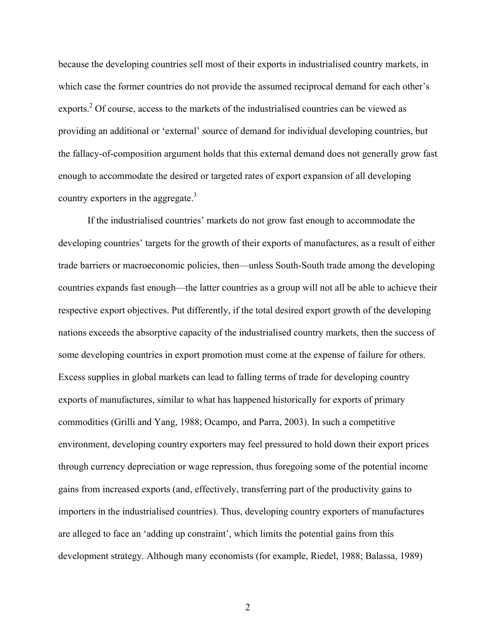because the developing countries sell most of their exports in industrialised country markets, in which case the former countries do not provide the assumed reciprocal demand for each other's exports.<sup>2</sup> Of course, access to the markets of the industrialised countries can be viewed as providing an additional or 'external' source of demand for individual developing countries, but the fallacy-of-composition argument holds that this external demand does not generally grow fast enough to accommodate the desired or targeted rates of export expansion of all developing country exporters in the aggregate. $3$ 

 If the industrialised countries' markets do not grow fast enough to accommodate the developing countries' targets for the growth of their exports of manufactures, as a result of either trade barriers or macroeconomic policies, then—unless South-South trade among the developing countries expands fast enough—the latter countries as a group will not all be able to achieve their respective export objectives. Put differently, if the total desired export growth of the developing nations exceeds the absorptive capacity of the industrialised country markets, then the success of some developing countries in export promotion must come at the expense of failure for others. Excess supplies in global markets can lead to falling terms of trade for developing country exports of manufactures, similar to what has happened historically for exports of primary commodities (Grilli and Yang, 1988; Ocampo, and Parra, 2003). In such a competitive environment, developing country exporters may feel pressured to hold down their export prices through currency depreciation or wage repression, thus foregoing some of the potential income gains from increased exports (and, effectively, transferring part of the productivity gains to importers in the industrialised countries). Thus, developing country exporters of manufactures are alleged to face an 'adding up constraint', which limits the potential gains from this development strategy. Although many economists (for example, Riedel, 1988; Balassa, 1989)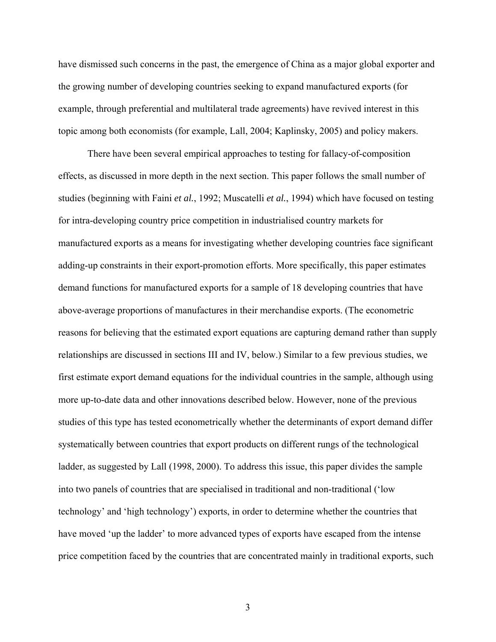have dismissed such concerns in the past, the emergence of China as a major global exporter and the growing number of developing countries seeking to expand manufactured exports (for example, through preferential and multilateral trade agreements) have revived interest in this topic among both economists (for example, Lall, 2004; Kaplinsky, 2005) and policy makers.

 There have been several empirical approaches to testing for fallacy-of-composition effects, as discussed in more depth in the next section. This paper follows the small number of studies (beginning with Faini *et al.*, 1992; Muscatelli *et al.*, 1994) which have focused on testing for intra-developing country price competition in industrialised country markets for manufactured exports as a means for investigating whether developing countries face significant adding-up constraints in their export-promotion efforts. More specifically, this paper estimates demand functions for manufactured exports for a sample of 18 developing countries that have above-average proportions of manufactures in their merchandise exports. (The econometric reasons for believing that the estimated export equations are capturing demand rather than supply relationships are discussed in sections III and IV, below.) Similar to a few previous studies, we first estimate export demand equations for the individual countries in the sample, although using more up-to-date data and other innovations described below. However, none of the previous studies of this type has tested econometrically whether the determinants of export demand differ systematically between countries that export products on different rungs of the technological ladder, as suggested by Lall (1998, 2000). To address this issue, this paper divides the sample into two panels of countries that are specialised in traditional and non-traditional ('low technology' and 'high technology') exports, in order to determine whether the countries that have moved 'up the ladder' to more advanced types of exports have escaped from the intense price competition faced by the countries that are concentrated mainly in traditional exports, such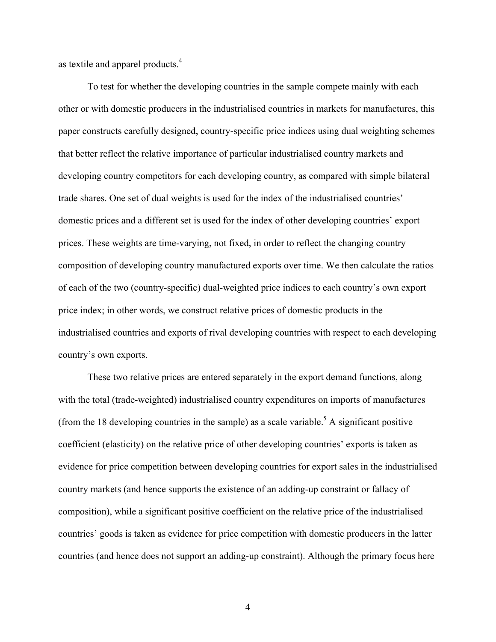as textile and apparel products.<sup>4</sup>

 To test for whether the developing countries in the sample compete mainly with each other or with domestic producers in the industrialised countries in markets for manufactures, this paper constructs carefully designed, country-specific price indices using dual weighting schemes that better reflect the relative importance of particular industrialised country markets and developing country competitors for each developing country, as compared with simple bilateral trade shares. One set of dual weights is used for the index of the industrialised countries' domestic prices and a different set is used for the index of other developing countries' export prices. These weights are time-varying, not fixed, in order to reflect the changing country composition of developing country manufactured exports over time. We then calculate the ratios of each of the two (country-specific) dual-weighted price indices to each country's own export price index; in other words, we construct relative prices of domestic products in the industrialised countries and exports of rival developing countries with respect to each developing country's own exports.

 These two relative prices are entered separately in the export demand functions, along with the total (trade-weighted) industrialised country expenditures on imports of manufactures (from the 18 developing countries in the sample) as a scale variable.<sup>5</sup> A significant positive coefficient (elasticity) on the relative price of other developing countries' exports is taken as evidence for price competition between developing countries for export sales in the industrialised country markets (and hence supports the existence of an adding-up constraint or fallacy of composition), while a significant positive coefficient on the relative price of the industrialised countries' goods is taken as evidence for price competition with domestic producers in the latter countries (and hence does not support an adding-up constraint). Although the primary focus here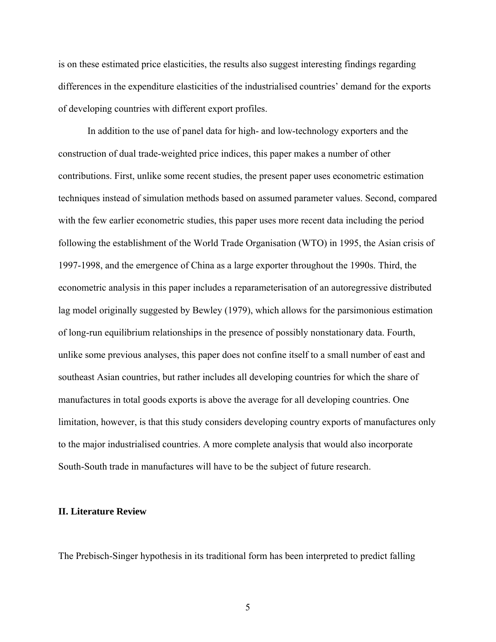is on these estimated price elasticities, the results also suggest interesting findings regarding differences in the expenditure elasticities of the industrialised countries' demand for the exports of developing countries with different export profiles.

 In addition to the use of panel data for high- and low-technology exporters and the construction of dual trade-weighted price indices, this paper makes a number of other contributions. First, unlike some recent studies, the present paper uses econometric estimation techniques instead of simulation methods based on assumed parameter values. Second, compared with the few earlier econometric studies, this paper uses more recent data including the period following the establishment of the World Trade Organisation (WTO) in 1995, the Asian crisis of 1997-1998, and the emergence of China as a large exporter throughout the 1990s. Third, the econometric analysis in this paper includes a reparameterisation of an autoregressive distributed lag model originally suggested by Bewley (1979), which allows for the parsimonious estimation of long-run equilibrium relationships in the presence of possibly nonstationary data. Fourth, unlike some previous analyses, this paper does not confine itself to a small number of east and southeast Asian countries, but rather includes all developing countries for which the share of manufactures in total goods exports is above the average for all developing countries. One limitation, however, is that this study considers developing country exports of manufactures only to the major industrialised countries. A more complete analysis that would also incorporate South-South trade in manufactures will have to be the subject of future research.

#### **II. Literature Review**

The Prebisch-Singer hypothesis in its traditional form has been interpreted to predict falling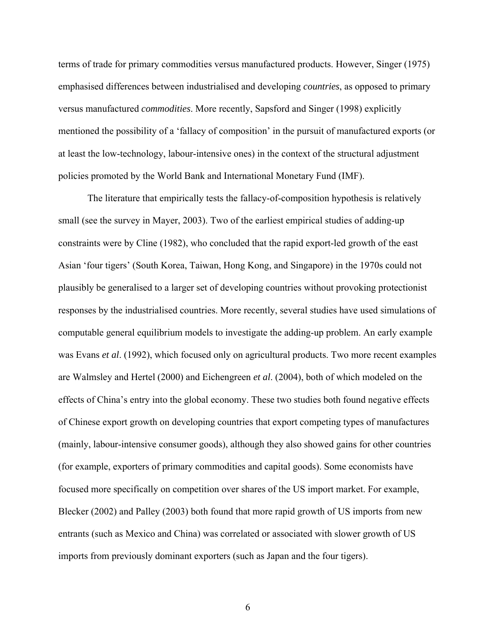terms of trade for primary commodities versus manufactured products. However, Singer (1975) emphasised differences between industrialised and developing *countries*, as opposed to primary versus manufactured *commodities*. More recently, Sapsford and Singer (1998) explicitly mentioned the possibility of a 'fallacy of composition' in the pursuit of manufactured exports (or at least the low-technology, labour-intensive ones) in the context of the structural adjustment policies promoted by the World Bank and International Monetary Fund (IMF).

 The literature that empirically tests the fallacy-of-composition hypothesis is relatively small (see the survey in Mayer, 2003). Two of the earliest empirical studies of adding-up constraints were by Cline (1982), who concluded that the rapid export-led growth of the east Asian 'four tigers' (South Korea, Taiwan, Hong Kong, and Singapore) in the 1970s could not plausibly be generalised to a larger set of developing countries without provoking protectionist responses by the industrialised countries. More recently, several studies have used simulations of computable general equilibrium models to investigate the adding-up problem. An early example was Evans *et al*. (1992), which focused only on agricultural products. Two more recent examples are Walmsley and Hertel (2000) and Eichengreen *et al*. (2004), both of which modeled on the effects of China's entry into the global economy. These two studies both found negative effects of Chinese export growth on developing countries that export competing types of manufactures (mainly, labour-intensive consumer goods), although they also showed gains for other countries (for example, exporters of primary commodities and capital goods). Some economists have focused more specifically on competition over shares of the US import market. For example, Blecker (2002) and Palley (2003) both found that more rapid growth of US imports from new entrants (such as Mexico and China) was correlated or associated with slower growth of US imports from previously dominant exporters (such as Japan and the four tigers).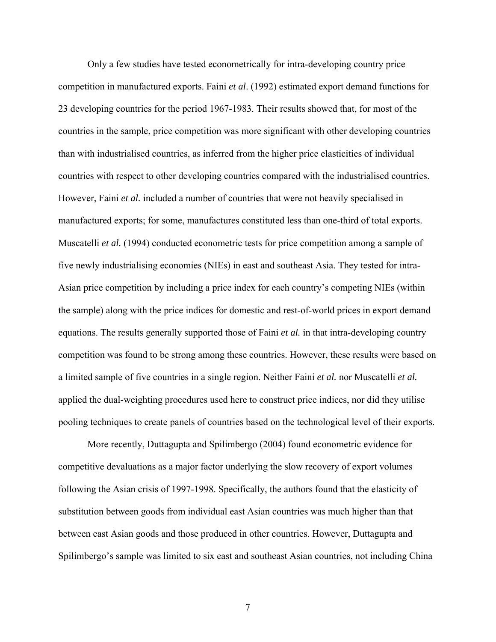Only a few studies have tested econometrically for intra-developing country price competition in manufactured exports. Faini *et al*. (1992) estimated export demand functions for 23 developing countries for the period 1967-1983. Their results showed that, for most of the countries in the sample, price competition was more significant with other developing countries than with industrialised countries, as inferred from the higher price elasticities of individual countries with respect to other developing countries compared with the industrialised countries. However, Faini *et al.* included a number of countries that were not heavily specialised in manufactured exports; for some, manufactures constituted less than one-third of total exports. Muscatelli *et al.* (1994) conducted econometric tests for price competition among a sample of five newly industrialising economies (NIEs) in east and southeast Asia. They tested for intra-Asian price competition by including a price index for each country's competing NIEs (within the sample) along with the price indices for domestic and rest-of-world prices in export demand equations. The results generally supported those of Faini *et al.* in that intra-developing country competition was found to be strong among these countries. However, these results were based on a limited sample of five countries in a single region. Neither Faini *et al.* nor Muscatelli *et al.* applied the dual-weighting procedures used here to construct price indices, nor did they utilise pooling techniques to create panels of countries based on the technological level of their exports.

 More recently, Duttagupta and Spilimbergo (2004) found econometric evidence for competitive devaluations as a major factor underlying the slow recovery of export volumes following the Asian crisis of 1997-1998. Specifically, the authors found that the elasticity of substitution between goods from individual east Asian countries was much higher than that between east Asian goods and those produced in other countries. However, Duttagupta and Spilimbergo's sample was limited to six east and southeast Asian countries, not including China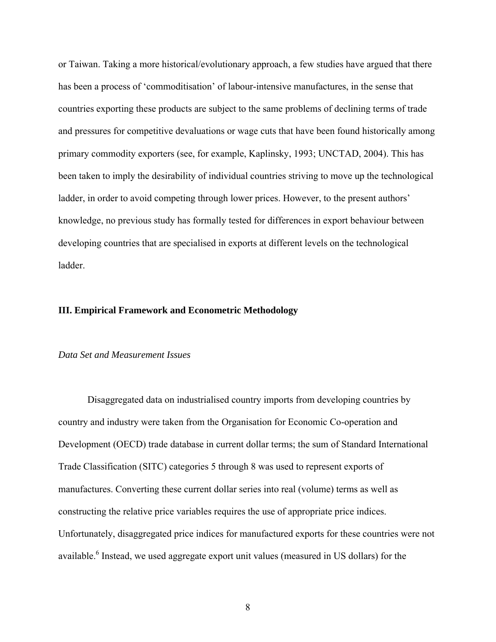or Taiwan. Taking a more historical/evolutionary approach, a few studies have argued that there has been a process of 'commoditisation' of labour-intensive manufactures, in the sense that countries exporting these products are subject to the same problems of declining terms of trade and pressures for competitive devaluations or wage cuts that have been found historically among primary commodity exporters (see, for example, Kaplinsky, 1993; UNCTAD, 2004). This has been taken to imply the desirability of individual countries striving to move up the technological ladder, in order to avoid competing through lower prices. However, to the present authors' knowledge, no previous study has formally tested for differences in export behaviour between developing countries that are specialised in exports at different levels on the technological ladder.

#### **III. Empirical Framework and Econometric Methodology**

#### *Data Set and Measurement Issues*

 Disaggregated data on industrialised country imports from developing countries by country and industry were taken from the Organisation for Economic Co-operation and Development (OECD) trade database in current dollar terms; the sum of Standard International Trade Classification (SITC) categories 5 through 8 was used to represent exports of manufactures. Converting these current dollar series into real (volume) terms as well as constructing the relative price variables requires the use of appropriate price indices. Unfortunately, disaggregated price indices for manufactured exports for these countries were not available.<sup>6</sup> Instead, we used aggregate export unit values (measured in US dollars) for the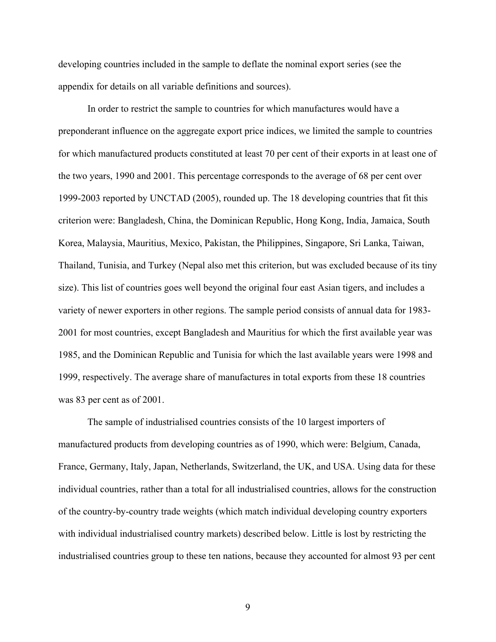developing countries included in the sample to deflate the nominal export series (see the appendix for details on all variable definitions and sources).

 In order to restrict the sample to countries for which manufactures would have a preponderant influence on the aggregate export price indices, we limited the sample to countries for which manufactured products constituted at least 70 per cent of their exports in at least one of the two years, 1990 and 2001. This percentage corresponds to the average of 68 per cent over 1999-2003 reported by UNCTAD (2005), rounded up. The 18 developing countries that fit this criterion were: Bangladesh, China, the Dominican Republic, Hong Kong, India, Jamaica, South Korea, Malaysia, Mauritius, Mexico, Pakistan, the Philippines, Singapore, Sri Lanka, Taiwan, Thailand, Tunisia, and Turkey (Nepal also met this criterion, but was excluded because of its tiny size). This list of countries goes well beyond the original four east Asian tigers, and includes a variety of newer exporters in other regions. The sample period consists of annual data for 1983- 2001 for most countries, except Bangladesh and Mauritius for which the first available year was 1985, and the Dominican Republic and Tunisia for which the last available years were 1998 and 1999, respectively. The average share of manufactures in total exports from these 18 countries was 83 per cent as of 2001.

 The sample of industrialised countries consists of the 10 largest importers of manufactured products from developing countries as of 1990, which were: Belgium, Canada, France, Germany, Italy, Japan, Netherlands, Switzerland, the UK, and USA. Using data for these individual countries, rather than a total for all industrialised countries, allows for the construction of the country-by-country trade weights (which match individual developing country exporters with individual industrialised country markets) described below. Little is lost by restricting the industrialised countries group to these ten nations, because they accounted for almost 93 per cent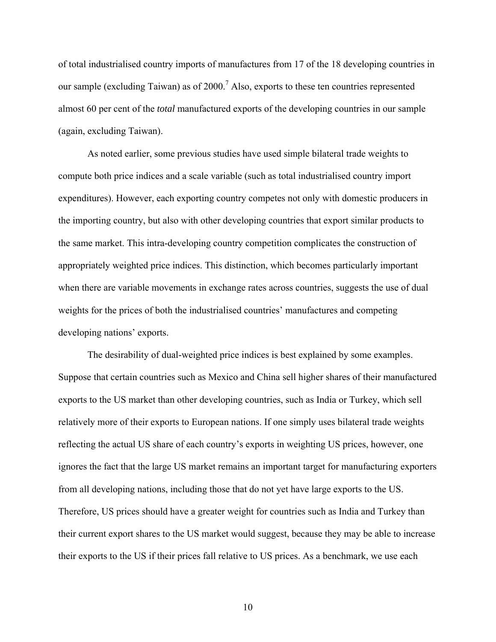of total industrialised country imports of manufactures from 17 of the 18 developing countries in our sample (excluding Taiwan) as of 2000.<sup>7</sup> Also, exports to these ten countries represented almost 60 per cent of the *total* manufactured exports of the developing countries in our sample (again, excluding Taiwan).

 As noted earlier, some previous studies have used simple bilateral trade weights to compute both price indices and a scale variable (such as total industrialised country import expenditures). However, each exporting country competes not only with domestic producers in the importing country, but also with other developing countries that export similar products to the same market. This intra-developing country competition complicates the construction of appropriately weighted price indices. This distinction, which becomes particularly important when there are variable movements in exchange rates across countries, suggests the use of dual weights for the prices of both the industrialised countries' manufactures and competing developing nations' exports.

 The desirability of dual-weighted price indices is best explained by some examples. Suppose that certain countries such as Mexico and China sell higher shares of their manufactured exports to the US market than other developing countries, such as India or Turkey, which sell relatively more of their exports to European nations. If one simply uses bilateral trade weights reflecting the actual US share of each country's exports in weighting US prices, however, one ignores the fact that the large US market remains an important target for manufacturing exporters from all developing nations, including those that do not yet have large exports to the US. Therefore, US prices should have a greater weight for countries such as India and Turkey than their current export shares to the US market would suggest, because they may be able to increase their exports to the US if their prices fall relative to US prices. As a benchmark, we use each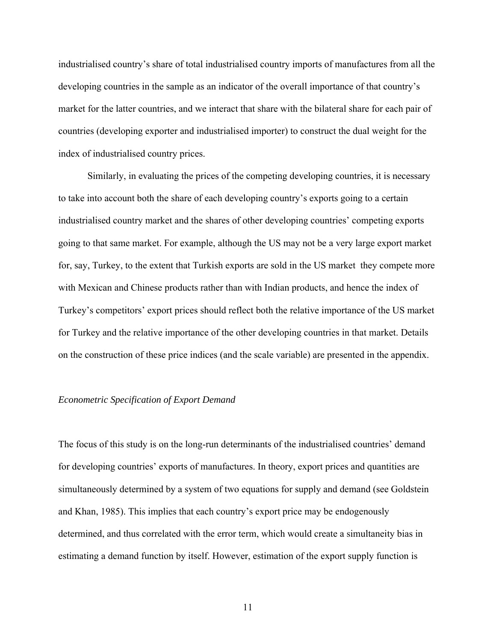industrialised country's share of total industrialised country imports of manufactures from all the developing countries in the sample as an indicator of the overall importance of that country's market for the latter countries, and we interact that share with the bilateral share for each pair of countries (developing exporter and industrialised importer) to construct the dual weight for the index of industrialised country prices.

 Similarly, in evaluating the prices of the competing developing countries, it is necessary to take into account both the share of each developing country's exports going to a certain industrialised country market and the shares of other developing countries' competing exports going to that same market. For example, although the US may not be a very large export market for, say, Turkey, to the extent that Turkish exports are sold in the US market they compete more with Mexican and Chinese products rather than with Indian products, and hence the index of Turkey's competitors' export prices should reflect both the relative importance of the US market for Turkey and the relative importance of the other developing countries in that market. Details on the construction of these price indices (and the scale variable) are presented in the appendix.

#### *Econometric Specification of Export Demand*

The focus of this study is on the long-run determinants of the industrialised countries' demand for developing countries' exports of manufactures. In theory, export prices and quantities are simultaneously determined by a system of two equations for supply and demand (see Goldstein and Khan, 1985). This implies that each country's export price may be endogenously determined, and thus correlated with the error term, which would create a simultaneity bias in estimating a demand function by itself. However, estimation of the export supply function is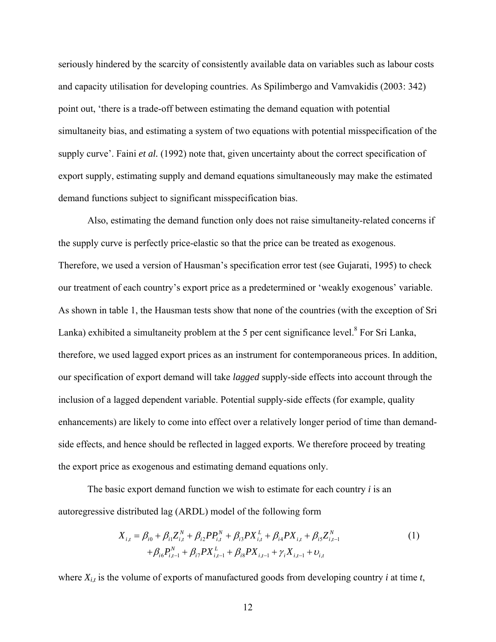seriously hindered by the scarcity of consistently available data on variables such as labour costs and capacity utilisation for developing countries. As Spilimbergo and Vamvakidis (2003: 342) point out, 'there is a trade-off between estimating the demand equation with potential simultaneity bias, and estimating a system of two equations with potential misspecification of the supply curve'. Faini *et al.* (1992) note that, given uncertainty about the correct specification of export supply, estimating supply and demand equations simultaneously may make the estimated demand functions subject to significant misspecification bias.

 Also, estimating the demand function only does not raise simultaneity-related concerns if the supply curve is perfectly price-elastic so that the price can be treated as exogenous. Therefore, we used a version of Hausman's specification error test (see Gujarati, 1995) to check our treatment of each country's export price as a predetermined or 'weakly exogenous' variable. As shown in table 1, the Hausman tests show that none of the countries (with the exception of Sri Lanka) exhibited a simultaneity problem at the 5 per cent significance level.<sup>8</sup> For Sri Lanka, therefore, we used lagged export prices as an instrument for contemporaneous prices. In addition, our specification of export demand will take *lagged* supply-side effects into account through the inclusion of a lagged dependent variable. Potential supply-side effects (for example, quality enhancements) are likely to come into effect over a relatively longer period of time than demandside effects, and hence should be reflected in lagged exports. We therefore proceed by treating the export price as exogenous and estimating demand equations only.

 The basic export demand function we wish to estimate for each country *i* is an autoregressive distributed lag (ARDL) model of the following form

$$
X_{i,t} = \beta_{i0} + \beta_{i1}Z_{i,t}^{N} + \beta_{i2}PP_{i,t}^{N} + \beta_{i3}PX_{i,t}^{L} + \beta_{i4}PX_{i,t} + \beta_{i5}Z_{i,t-1}^{N}
$$
  
+  $\beta_{i6}P_{i,t-1}^{N} + \beta_{i7}PX_{i,t-1}^{L} + \beta_{i8}PX_{i,t-1} + \gamma_{i}X_{i,t-1} + \nu_{i,t}$  (1)

where  $X_{i,t}$  is the volume of exports of manufactured goods from developing country *i* at time *t*,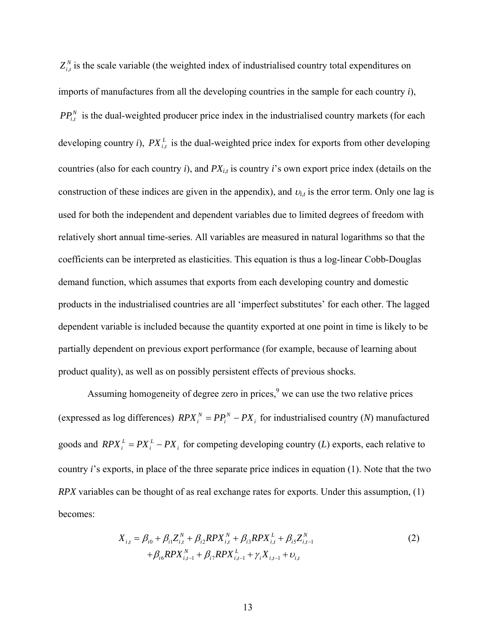$Z_{i,t}^{N}$  is the scale variable (the weighted index of industrialised country total expenditures on imports of manufactures from all the developing countries in the sample for each country *i*),  $PP_{i,t}^{N}$  is the dual-weighted producer price index in the industrialised country markets (for each developing country *i*),  $PX_{i,t}^L$  is the dual-weighted price index for exports from other developing countries (also for each country *i*), and *PXi*,*t* is country *i*'s own export price index (details on the construction of these indices are given in the appendix), and  $v_{i,t}$  is the error term. Only one lag is used for both the independent and dependent variables due to limited degrees of freedom with relatively short annual time-series. All variables are measured in natural logarithms so that the coefficients can be interpreted as elasticities. This equation is thus a log-linear Cobb-Douglas demand function, which assumes that exports from each developing country and domestic products in the industrialised countries are all 'imperfect substitutes' for each other. The lagged dependent variable is included because the quantity exported at one point in time is likely to be partially dependent on previous export performance (for example, because of learning about product quality), as well as on possibly persistent effects of previous shocks.

Assuming homogeneity of degree zero in prices, $9$  we can use the two relative prices (expressed as log differences)  $RPX_i^N = PP_i^N - PX_i$  $RPX_i^N = PP_i^N - PX_i$  for industrialised country (*N*) manufactured goods and  $RPX_i^L = PX_i^L -PX_i$  $RPX_i^L = PX_i^L -PX_i$  for competing developing country (*L*) exports, each relative to country *i*'s exports, in place of the three separate price indices in equation (1). Note that the two *RPX* variables can be thought of as real exchange rates for exports. Under this assumption, (1) becomes:

$$
X_{i,t} = \beta_{i0} + \beta_{i1}Z_{i,t}^{N} + \beta_{i2}RPX_{i,t}^{N} + \beta_{i3}RPX_{i,t}^{L} + \beta_{i5}Z_{i,t-1}^{N}
$$
  
+  $\beta_{i6}RPX_{i,t-1}^{N} + \beta_{i7}RPX_{i,t-1}^{L} + \gamma_{i}X_{i,t-1} + \nu_{i,t}$  (2)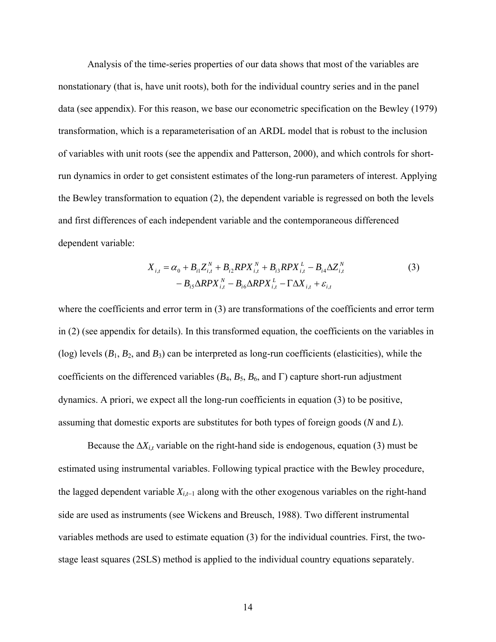Analysis of the time-series properties of our data shows that most of the variables are nonstationary (that is, have unit roots), both for the individual country series and in the panel data (see appendix). For this reason, we base our econometric specification on the Bewley (1979) transformation, which is a reparameterisation of an ARDL model that is robust to the inclusion of variables with unit roots (see the appendix and Patterson, 2000), and which controls for shortrun dynamics in order to get consistent estimates of the long-run parameters of interest. Applying the Bewley transformation to equation (2), the dependent variable is regressed on both the levels and first differences of each independent variable and the contemporaneous differenced dependent variable:

$$
X_{i,t} = \alpha_0 + B_{i1}Z_{i,t}^N + B_{i2}RPX_{i,t}^N + B_{i3}RPX_{i,t}^L - B_{i4}\Delta Z_{i,t}^N
$$
  
-  $B_{i5}\Delta RPX_{i,t}^N - B_{i6}\Delta RPX_{i,t}^L - \Gamma \Delta X_{i,t} + \varepsilon_{i,t}$  (3)

where the coefficients and error term in (3) are transformations of the coefficients and error term in (2) (see appendix for details). In this transformed equation, the coefficients on the variables in (log) levels  $(B_1, B_2, \text{ and } B_3)$  can be interpreted as long-run coefficients (elasticities), while the coefficients on the differenced variables ( $B_4$ ,  $B_5$ ,  $B_6$ , and Γ) capture short-run adjustment dynamics. A priori, we expect all the long-run coefficients in equation (3) to be positive, assuming that domestic exports are substitutes for both types of foreign goods (*N* and *L*).

Because the  $\Delta X_{i,t}$  variable on the right-hand side is endogenous, equation (3) must be estimated using instrumental variables. Following typical practice with the Bewley procedure, the lagged dependent variable *Xi,t*−1 along with the other exogenous variables on the right-hand side are used as instruments (see Wickens and Breusch, 1988). Two different instrumental variables methods are used to estimate equation (3) for the individual countries. First, the twostage least squares (2SLS) method is applied to the individual country equations separately.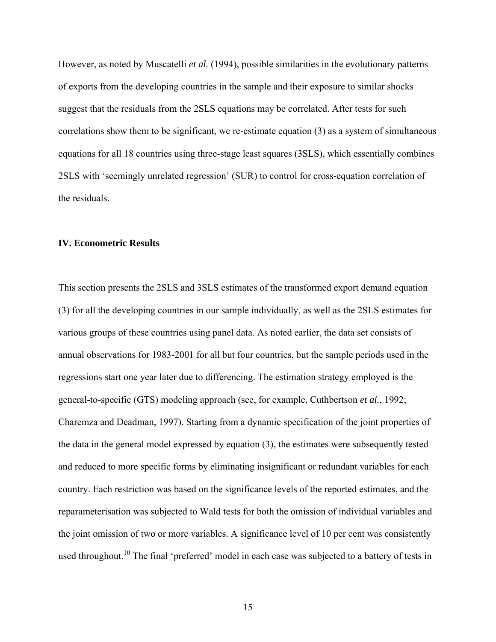However, as noted by Muscatelli *et al.* (1994), possible similarities in the evolutionary patterns of exports from the developing countries in the sample and their exposure to similar shocks suggest that the residuals from the 2SLS equations may be correlated. After tests for such correlations show them to be significant, we re-estimate equation (3) as a system of simultaneous equations for all 18 countries using three-stage least squares (3SLS), which essentially combines 2SLS with 'seemingly unrelated regression' (SUR) to control for cross-equation correlation of the residuals.

#### **IV. Econometric Results**

This section presents the 2SLS and 3SLS estimates of the transformed export demand equation (3) for all the developing countries in our sample individually, as well as the 2SLS estimates for various groups of these countries using panel data. As noted earlier, the data set consists of annual observations for 1983-2001 for all but four countries, but the sample periods used in the regressions start one year later due to differencing. The estimation strategy employed is the general-to-specific (GTS) modeling approach (see, for example, Cuthbertson *et al.*, 1992; Charemza and Deadman, 1997). Starting from a dynamic specification of the joint properties of the data in the general model expressed by equation (3), the estimates were subsequently tested and reduced to more specific forms by eliminating insignificant or redundant variables for each country. Each restriction was based on the significance levels of the reported estimates, and the reparameterisation was subjected to Wald tests for both the omission of individual variables and the joint omission of two or more variables. A significance level of 10 per cent was consistently used throughout.<sup>10</sup> The final 'preferred' model in each case was subjected to a battery of tests in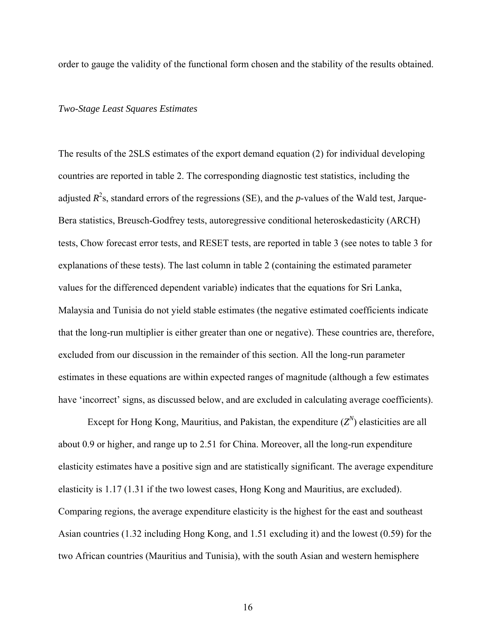order to gauge the validity of the functional form chosen and the stability of the results obtained.

#### *Two-Stage Least Squares Estimates*

The results of the 2SLS estimates of the export demand equation (2) for individual developing countries are reported in table 2. The corresponding diagnostic test statistics, including the adjusted  $R^2$ s, standard errors of the regressions (SE), and the *p*-values of the Wald test, Jarque-Bera statistics, Breusch-Godfrey tests, autoregressive conditional heteroskedasticity (ARCH) tests, Chow forecast error tests, and RESET tests, are reported in table 3 (see notes to table 3 for explanations of these tests). The last column in table 2 (containing the estimated parameter values for the differenced dependent variable) indicates that the equations for Sri Lanka, Malaysia and Tunisia do not yield stable estimates (the negative estimated coefficients indicate that the long-run multiplier is either greater than one or negative). These countries are, therefore, excluded from our discussion in the remainder of this section. All the long-run parameter estimates in these equations are within expected ranges of magnitude (although a few estimates have 'incorrect' signs, as discussed below, and are excluded in calculating average coefficients).

Except for Hong Kong, Mauritius, and Pakistan, the expenditure  $(Z<sup>N</sup>)$  elasticities are all about 0.9 or higher, and range up to 2.51 for China. Moreover, all the long-run expenditure elasticity estimates have a positive sign and are statistically significant. The average expenditure elasticity is 1.17 (1.31 if the two lowest cases, Hong Kong and Mauritius, are excluded). Comparing regions, the average expenditure elasticity is the highest for the east and southeast Asian countries (1.32 including Hong Kong, and 1.51 excluding it) and the lowest (0.59) for the two African countries (Mauritius and Tunisia), with the south Asian and western hemisphere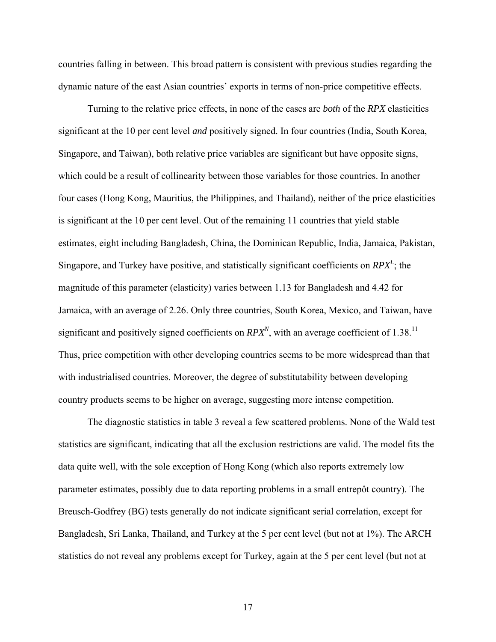countries falling in between. This broad pattern is consistent with previous studies regarding the dynamic nature of the east Asian countries' exports in terms of non-price competitive effects.

 Turning to the relative price effects, in none of the cases are *both* of the *RPX* elasticities significant at the 10 per cent level *and* positively signed. In four countries (India, South Korea, Singapore, and Taiwan), both relative price variables are significant but have opposite signs, which could be a result of collinearity between those variables for those countries. In another four cases (Hong Kong, Mauritius, the Philippines, and Thailand), neither of the price elasticities is significant at the 10 per cent level. Out of the remaining 11 countries that yield stable estimates, eight including Bangladesh, China, the Dominican Republic, India, Jamaica, Pakistan, Singapore, and Turkey have positive, and statistically significant coefficients on  $RPX<sup>L</sup>$ ; the magnitude of this parameter (elasticity) varies between 1.13 for Bangladesh and 4.42 for Jamaica, with an average of 2.26. Only three countries, South Korea, Mexico, and Taiwan, have significant and positively signed coefficients on  $RPX^N$ , with an average coefficient of 1.38.<sup>11</sup> Thus, price competition with other developing countries seems to be more widespread than that with industrialised countries. Moreover, the degree of substitutability between developing country products seems to be higher on average, suggesting more intense competition.

 The diagnostic statistics in table 3 reveal a few scattered problems. None of the Wald test statistics are significant, indicating that all the exclusion restrictions are valid. The model fits the data quite well, with the sole exception of Hong Kong (which also reports extremely low parameter estimates, possibly due to data reporting problems in a small entrepôt country). The Breusch-Godfrey (BG) tests generally do not indicate significant serial correlation, except for Bangladesh, Sri Lanka, Thailand, and Turkey at the 5 per cent level (but not at 1%). The ARCH statistics do not reveal any problems except for Turkey, again at the 5 per cent level (but not at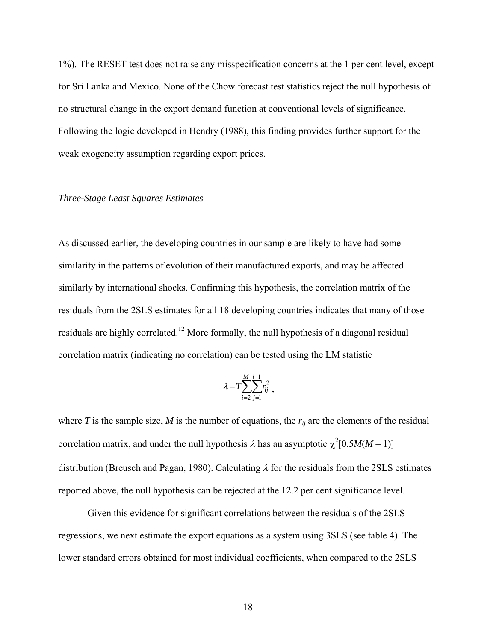1%). The RESET test does not raise any misspecification concerns at the 1 per cent level, except for Sri Lanka and Mexico. None of the Chow forecast test statistics reject the null hypothesis of no structural change in the export demand function at conventional levels of significance. Following the logic developed in Hendry (1988), this finding provides further support for the weak exogeneity assumption regarding export prices.

#### *Three-Stage Least Squares Estimates*

As discussed earlier, the developing countries in our sample are likely to have had some similarity in the patterns of evolution of their manufactured exports, and may be affected similarly by international shocks. Confirming this hypothesis, the correlation matrix of the residuals from the 2SLS estimates for all 18 developing countries indicates that many of those residuals are highly correlated.12 More formally, the null hypothesis of a diagonal residual correlation matrix (indicating no correlation) can be tested using the LM statistic

$$
\lambda = T \sum_{i=2}^{M} \sum_{j=1}^{i-1} r_{ij}^2 ,
$$

where *T* is the sample size, *M* is the number of equations, the  $r_{ij}$  are the elements of the residual correlation matrix, and under the null hypothesis  $\lambda$  has an asymptotic  $\chi^2[0.5M(M-1)]$ distribution (Breusch and Pagan, 1980). Calculating  $\lambda$  for the residuals from the 2SLS estimates reported above, the null hypothesis can be rejected at the 12.2 per cent significance level.

 Given this evidence for significant correlations between the residuals of the 2SLS regressions, we next estimate the export equations as a system using 3SLS (see table 4). The lower standard errors obtained for most individual coefficients, when compared to the 2SLS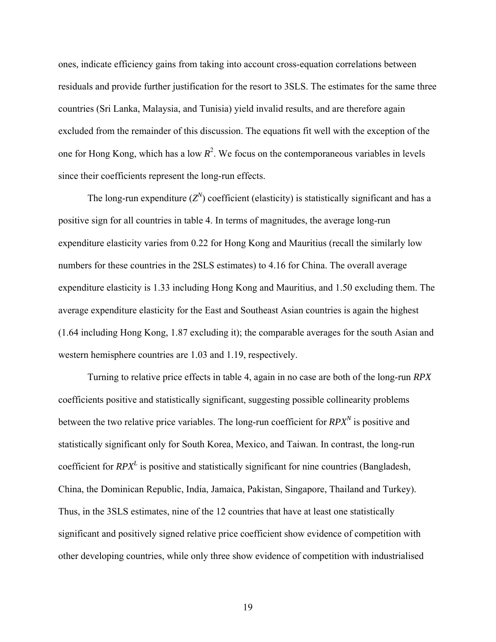ones, indicate efficiency gains from taking into account cross-equation correlations between residuals and provide further justification for the resort to 3SLS. The estimates for the same three countries (Sri Lanka, Malaysia, and Tunisia) yield invalid results, and are therefore again excluded from the remainder of this discussion. The equations fit well with the exception of the one for Hong Kong, which has a low  $R^2$ . We focus on the contemporaneous variables in levels since their coefficients represent the long-run effects.

The long-run expenditure  $(Z^N)$  coefficient (elasticity) is statistically significant and has a positive sign for all countries in table 4. In terms of magnitudes, the average long-run expenditure elasticity varies from 0.22 for Hong Kong and Mauritius (recall the similarly low numbers for these countries in the 2SLS estimates) to 4.16 for China. The overall average expenditure elasticity is 1.33 including Hong Kong and Mauritius, and 1.50 excluding them. The average expenditure elasticity for the East and Southeast Asian countries is again the highest (1.64 including Hong Kong, 1.87 excluding it); the comparable averages for the south Asian and western hemisphere countries are 1.03 and 1.19, respectively.

 Turning to relative price effects in table 4, again in no case are both of the long-run *RPX* coefficients positive and statistically significant, suggesting possible collinearity problems between the two relative price variables. The long-run coefficient for  $RPX<sup>N</sup>$  is positive and statistically significant only for South Korea, Mexico, and Taiwan. In contrast, the long-run coefficient for *RPX<sup>L</sup>* is positive and statistically significant for nine countries (Bangladesh, China, the Dominican Republic, India, Jamaica, Pakistan, Singapore, Thailand and Turkey). Thus, in the 3SLS estimates, nine of the 12 countries that have at least one statistically significant and positively signed relative price coefficient show evidence of competition with other developing countries, while only three show evidence of competition with industrialised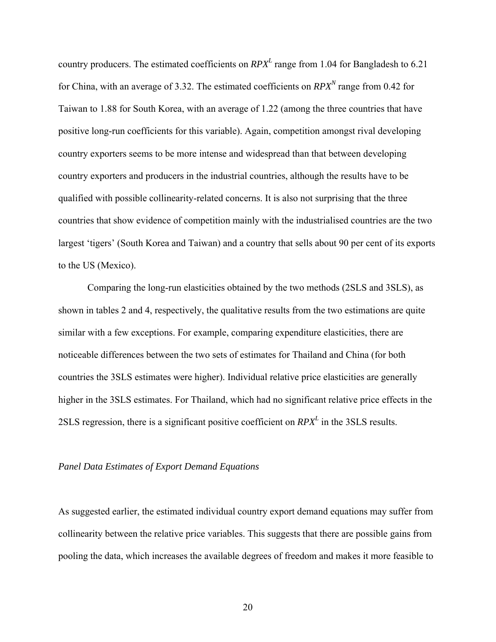country producers. The estimated coefficients on *RPX<sup>L</sup>* range from 1.04 for Bangladesh to 6.21 for China, with an average of 3.32. The estimated coefficients on  $RPX<sup>N</sup>$  range from 0.42 for Taiwan to 1.88 for South Korea, with an average of 1.22 (among the three countries that have positive long-run coefficients for this variable). Again, competition amongst rival developing country exporters seems to be more intense and widespread than that between developing country exporters and producers in the industrial countries, although the results have to be qualified with possible collinearity-related concerns. It is also not surprising that the three countries that show evidence of competition mainly with the industrialised countries are the two largest 'tigers' (South Korea and Taiwan) and a country that sells about 90 per cent of its exports to the US (Mexico).

 Comparing the long-run elasticities obtained by the two methods (2SLS and 3SLS), as shown in tables 2 and 4, respectively, the qualitative results from the two estimations are quite similar with a few exceptions. For example, comparing expenditure elasticities, there are noticeable differences between the two sets of estimates for Thailand and China (for both countries the 3SLS estimates were higher). Individual relative price elasticities are generally higher in the 3SLS estimates. For Thailand, which had no significant relative price effects in the 2SLS regression, there is a significant positive coefficient on  $RPX<sup>L</sup>$  in the 3SLS results.

#### *Panel Data Estimates of Export Demand Equations*

As suggested earlier, the estimated individual country export demand equations may suffer from collinearity between the relative price variables. This suggests that there are possible gains from pooling the data, which increases the available degrees of freedom and makes it more feasible to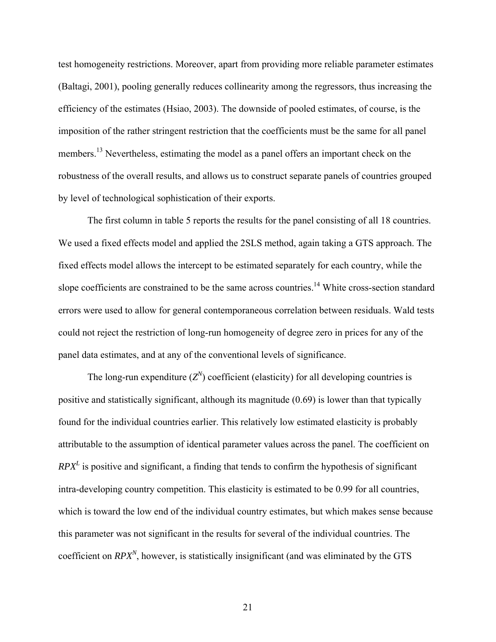test homogeneity restrictions. Moreover, apart from providing more reliable parameter estimates (Baltagi, 2001), pooling generally reduces collinearity among the regressors, thus increasing the efficiency of the estimates (Hsiao, 2003). The downside of pooled estimates, of course, is the imposition of the rather stringent restriction that the coefficients must be the same for all panel members.<sup>13</sup> Nevertheless, estimating the model as a panel offers an important check on the robustness of the overall results, and allows us to construct separate panels of countries grouped by level of technological sophistication of their exports.

 The first column in table 5 reports the results for the panel consisting of all 18 countries. We used a fixed effects model and applied the 2SLS method, again taking a GTS approach. The fixed effects model allows the intercept to be estimated separately for each country, while the slope coefficients are constrained to be the same across countries.<sup>14</sup> White cross-section standard errors were used to allow for general contemporaneous correlation between residuals. Wald tests could not reject the restriction of long-run homogeneity of degree zero in prices for any of the panel data estimates, and at any of the conventional levels of significance.

The long-run expenditure  $(Z^N)$  coefficient (elasticity) for all developing countries is positive and statistically significant, although its magnitude (0.69) is lower than that typically found for the individual countries earlier. This relatively low estimated elasticity is probably attributable to the assumption of identical parameter values across the panel. The coefficient on  $RPX<sup>L</sup>$  is positive and significant, a finding that tends to confirm the hypothesis of significant intra-developing country competition. This elasticity is estimated to be 0.99 for all countries, which is toward the low end of the individual country estimates, but which makes sense because this parameter was not significant in the results for several of the individual countries. The coefficient on  $RPX^N$ , however, is statistically insignificant (and was eliminated by the GTS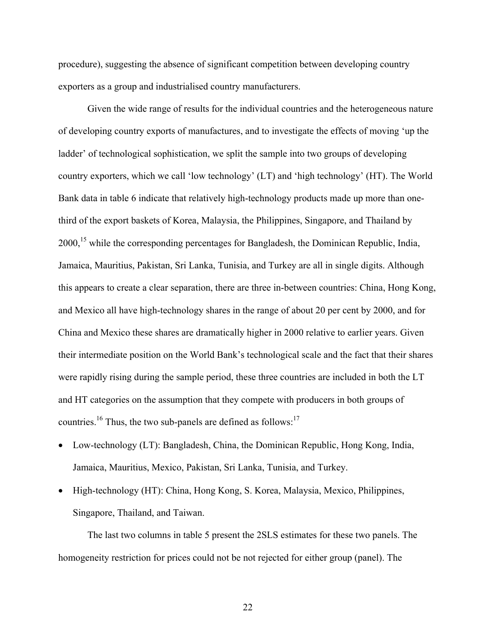procedure), suggesting the absence of significant competition between developing country exporters as a group and industrialised country manufacturers.

 Given the wide range of results for the individual countries and the heterogeneous nature of developing country exports of manufactures, and to investigate the effects of moving 'up the ladder' of technological sophistication, we split the sample into two groups of developing country exporters, which we call 'low technology' (LT) and 'high technology' (HT). The World Bank data in table 6 indicate that relatively high-technology products made up more than onethird of the export baskets of Korea, Malaysia, the Philippines, Singapore, and Thailand by 2000,<sup>15</sup> while the corresponding percentages for Bangladesh, the Dominican Republic, India, Jamaica, Mauritius, Pakistan, Sri Lanka, Tunisia, and Turkey are all in single digits. Although this appears to create a clear separation, there are three in-between countries: China, Hong Kong, and Mexico all have high-technology shares in the range of about 20 per cent by 2000, and for China and Mexico these shares are dramatically higher in 2000 relative to earlier years. Given their intermediate position on the World Bank's technological scale and the fact that their shares were rapidly rising during the sample period, these three countries are included in both the LT and HT categories on the assumption that they compete with producers in both groups of countries.<sup>16</sup> Thus, the two sub-panels are defined as follows:<sup>17</sup>

- Low-technology (LT): Bangladesh, China, the Dominican Republic, Hong Kong, India, Jamaica, Mauritius, Mexico, Pakistan, Sri Lanka, Tunisia, and Turkey.
- High-technology (HT): China, Hong Kong, S. Korea, Malaysia, Mexico, Philippines, Singapore, Thailand, and Taiwan.

 The last two columns in table 5 present the 2SLS estimates for these two panels. The homogeneity restriction for prices could not be not rejected for either group (panel). The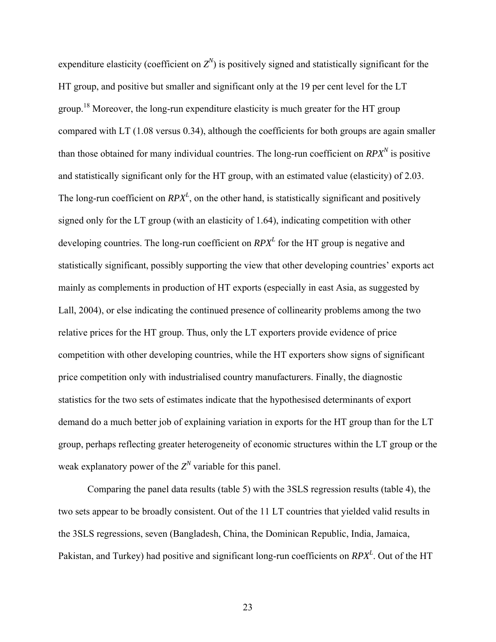expenditure elasticity (coefficient on  $Z^N$ ) is positively signed and statistically significant for the HT group, and positive but smaller and significant only at the 19 per cent level for the LT group.18 Moreover, the long-run expenditure elasticity is much greater for the HT group compared with LT (1.08 versus 0.34), although the coefficients for both groups are again smaller than those obtained for many individual countries. The long-run coefficient on  $RPX^N$  is positive and statistically significant only for the HT group, with an estimated value (elasticity) of 2.03. The long-run coefficient on  $RPX<sup>L</sup>$ , on the other hand, is statistically significant and positively signed only for the LT group (with an elasticity of 1.64), indicating competition with other developing countries. The long-run coefficient on  $RPX<sup>L</sup>$  for the HT group is negative and statistically significant, possibly supporting the view that other developing countries' exports act mainly as complements in production of HT exports (especially in east Asia, as suggested by Lall, 2004), or else indicating the continued presence of collinearity problems among the two relative prices for the HT group. Thus, only the LT exporters provide evidence of price competition with other developing countries, while the HT exporters show signs of significant price competition only with industrialised country manufacturers. Finally, the diagnostic statistics for the two sets of estimates indicate that the hypothesised determinants of export demand do a much better job of explaining variation in exports for the HT group than for the LT group, perhaps reflecting greater heterogeneity of economic structures within the LT group or the weak explanatory power of the  $Z^N$  variable for this panel.

 Comparing the panel data results (table 5) with the 3SLS regression results (table 4), the two sets appear to be broadly consistent. Out of the 11 LT countries that yielded valid results in the 3SLS regressions, seven (Bangladesh, China, the Dominican Republic, India, Jamaica, Pakistan, and Turkey) had positive and significant long-run coefficients on  $RPX<sup>L</sup>$ . Out of the HT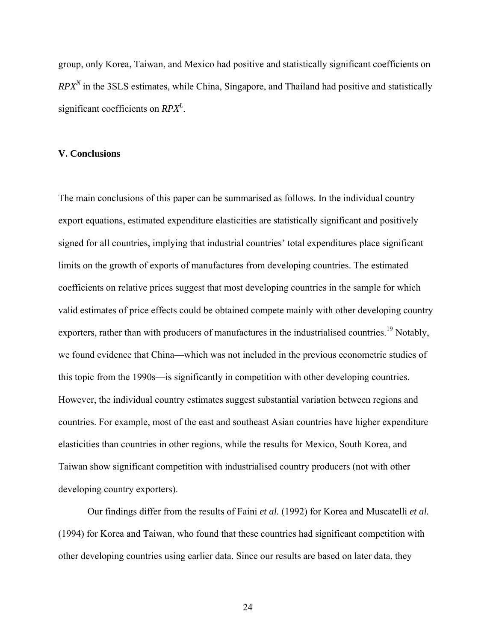group, only Korea, Taiwan, and Mexico had positive and statistically significant coefficients on  $RPX<sup>N</sup>$  in the 3SLS estimates, while China, Singapore, and Thailand had positive and statistically significant coefficients on *RPX<sup>L</sup>* .

#### **V. Conclusions**

The main conclusions of this paper can be summarised as follows. In the individual country export equations, estimated expenditure elasticities are statistically significant and positively signed for all countries, implying that industrial countries' total expenditures place significant limits on the growth of exports of manufactures from developing countries. The estimated coefficients on relative prices suggest that most developing countries in the sample for which valid estimates of price effects could be obtained compete mainly with other developing country exporters, rather than with producers of manufactures in the industrialised countries.<sup>19</sup> Notably, we found evidence that China—which was not included in the previous econometric studies of this topic from the 1990s—is significantly in competition with other developing countries. However, the individual country estimates suggest substantial variation between regions and countries. For example, most of the east and southeast Asian countries have higher expenditure elasticities than countries in other regions, while the results for Mexico, South Korea, and Taiwan show significant competition with industrialised country producers (not with other developing country exporters).

 Our findings differ from the results of Faini *et al.* (1992) for Korea and Muscatelli *et al.* (1994) for Korea and Taiwan, who found that these countries had significant competition with other developing countries using earlier data. Since our results are based on later data, they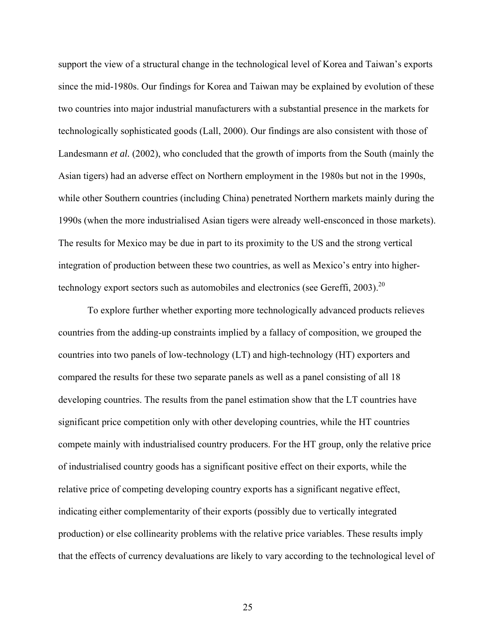support the view of a structural change in the technological level of Korea and Taiwan's exports since the mid-1980s. Our findings for Korea and Taiwan may be explained by evolution of these two countries into major industrial manufacturers with a substantial presence in the markets for technologically sophisticated goods (Lall, 2000). Our findings are also consistent with those of Landesmann *et al.* (2002), who concluded that the growth of imports from the South (mainly the Asian tigers) had an adverse effect on Northern employment in the 1980s but not in the 1990s, while other Southern countries (including China) penetrated Northern markets mainly during the 1990s (when the more industrialised Asian tigers were already well-ensconced in those markets). The results for Mexico may be due in part to its proximity to the US and the strong vertical integration of production between these two countries, as well as Mexico's entry into highertechnology export sectors such as automobiles and electronics (see Gereffi,  $2003$ ).<sup>20</sup>

 To explore further whether exporting more technologically advanced products relieves countries from the adding-up constraints implied by a fallacy of composition, we grouped the countries into two panels of low-technology (LT) and high-technology (HT) exporters and compared the results for these two separate panels as well as a panel consisting of all 18 developing countries. The results from the panel estimation show that the LT countries have significant price competition only with other developing countries, while the HT countries compete mainly with industrialised country producers. For the HT group, only the relative price of industrialised country goods has a significant positive effect on their exports, while the relative price of competing developing country exports has a significant negative effect, indicating either complementarity of their exports (possibly due to vertically integrated production) or else collinearity problems with the relative price variables. These results imply that the effects of currency devaluations are likely to vary according to the technological level of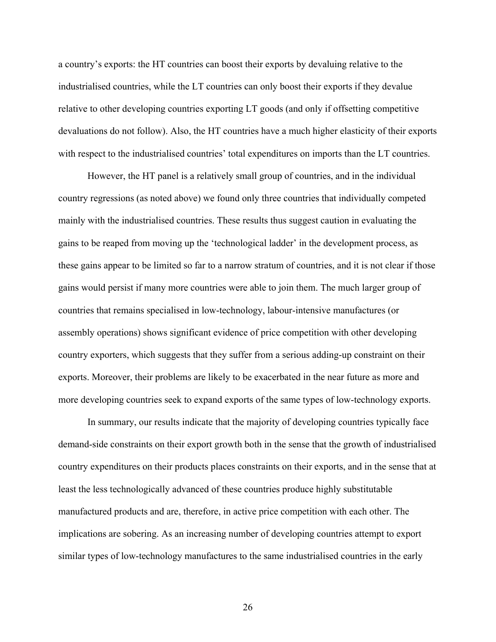a country's exports: the HT countries can boost their exports by devaluing relative to the industrialised countries, while the LT countries can only boost their exports if they devalue relative to other developing countries exporting LT goods (and only if offsetting competitive devaluations do not follow). Also, the HT countries have a much higher elasticity of their exports with respect to the industrialised countries' total expenditures on imports than the LT countries.

 However, the HT panel is a relatively small group of countries, and in the individual country regressions (as noted above) we found only three countries that individually competed mainly with the industrialised countries. These results thus suggest caution in evaluating the gains to be reaped from moving up the 'technological ladder' in the development process, as these gains appear to be limited so far to a narrow stratum of countries, and it is not clear if those gains would persist if many more countries were able to join them. The much larger group of countries that remains specialised in low-technology, labour-intensive manufactures (or assembly operations) shows significant evidence of price competition with other developing country exporters, which suggests that they suffer from a serious adding-up constraint on their exports. Moreover, their problems are likely to be exacerbated in the near future as more and more developing countries seek to expand exports of the same types of low-technology exports.

 In summary, our results indicate that the majority of developing countries typically face demand-side constraints on their export growth both in the sense that the growth of industrialised country expenditures on their products places constraints on their exports, and in the sense that at least the less technologically advanced of these countries produce highly substitutable manufactured products and are, therefore, in active price competition with each other. The implications are sobering. As an increasing number of developing countries attempt to export similar types of low-technology manufactures to the same industrialised countries in the early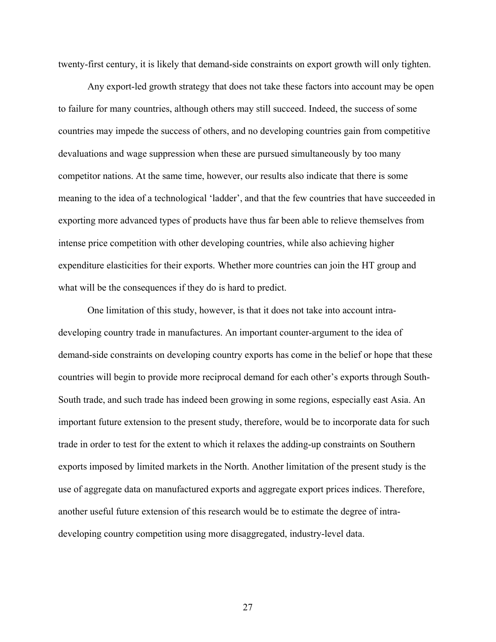twenty-first century, it is likely that demand-side constraints on export growth will only tighten.

 Any export-led growth strategy that does not take these factors into account may be open to failure for many countries, although others may still succeed. Indeed, the success of some countries may impede the success of others, and no developing countries gain from competitive devaluations and wage suppression when these are pursued simultaneously by too many competitor nations. At the same time, however, our results also indicate that there is some meaning to the idea of a technological 'ladder', and that the few countries that have succeeded in exporting more advanced types of products have thus far been able to relieve themselves from intense price competition with other developing countries, while also achieving higher expenditure elasticities for their exports. Whether more countries can join the HT group and what will be the consequences if they do is hard to predict.

 One limitation of this study, however, is that it does not take into account intradeveloping country trade in manufactures. An important counter-argument to the idea of demand-side constraints on developing country exports has come in the belief or hope that these countries will begin to provide more reciprocal demand for each other's exports through South-South trade, and such trade has indeed been growing in some regions, especially east Asia. An important future extension to the present study, therefore, would be to incorporate data for such trade in order to test for the extent to which it relaxes the adding-up constraints on Southern exports imposed by limited markets in the North. Another limitation of the present study is the use of aggregate data on manufactured exports and aggregate export prices indices. Therefore, another useful future extension of this research would be to estimate the degree of intradeveloping country competition using more disaggregated, industry-level data.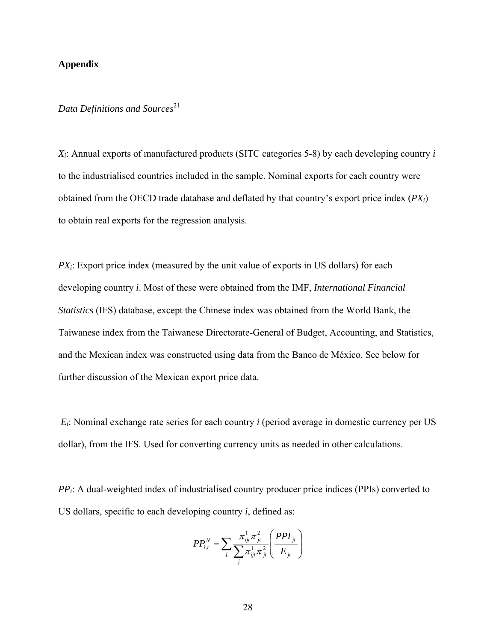#### **Appendix**

#### *Data Definitions and Sources*<sup>21</sup>

*Xi*: Annual exports of manufactured products (SITC categories 5-8) by each developing country *i* to the industrialised countries included in the sample. Nominal exports for each country were obtained from the OECD trade database and deflated by that country's export price index (*PXi*) to obtain real exports for the regression analysis.

*PX<sub>i</sub>*: Export price index (measured by the unit value of exports in US dollars) for each developing country *i*. Most of these were obtained from the IMF, *International Financial Statistics* (IFS) database, except the Chinese index was obtained from the World Bank, the Taiwanese index from the Taiwanese Directorate-General of Budget, Accounting, and Statistics, and the Mexican index was constructed using data from the Banco de México. See below for further discussion of the Mexican export price data.

*Ei*: Nominal exchange rate series for each country *i* (period average in domestic currency per US dollar), from the IFS. Used for converting currency units as needed in other calculations.

*PPi*: A dual-weighted index of industrialised country producer price indices (PPIs) converted to US dollars, specific to each developing country *i*, defined as:

$$
PP_{i,t}^{N} = \sum_{j} \frac{\pi_{ijt}^{1} \pi_{jt}^{2}}{\sum_{j} \pi_{ijt}^{1} \pi_{jt}^{2}} \left(\frac{PPI_{jt}}{E_{jt}}\right)
$$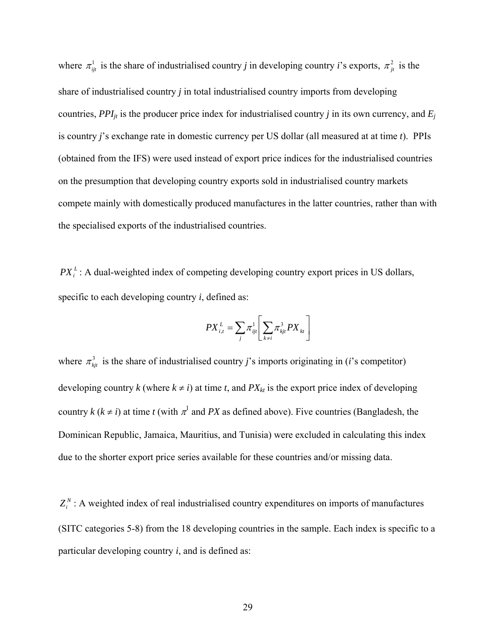where  $\pi_{ij}^1$  is the share of industrialised country *j* in developing country *i*'s exports,  $\pi_{ji}^2$  is the share of industrialised country *j* in total industrialised country imports from developing countries,  $PPI_{it}$  is the producer price index for industrialised country *j* in its own currency, and  $E_i$ is country *j*'s exchange rate in domestic currency per US dollar (all measured at at time *t*). PPIs (obtained from the IFS) were used instead of export price indices for the industrialised countries on the presumption that developing country exports sold in industrialised country markets compete mainly with domestically produced manufactures in the latter countries, rather than with the specialised exports of the industrialised countries.

 $PX_i^L$ : A dual-weighted index of competing developing country export prices in US dollars, specific to each developing country *i*, defined as:

$$
PX_{i,t}^L=\sum_{j}\pi_{ijt}^1\Bigg\lfloor\sum_{k\neq i}\pi_{kjt}^3PX_{kt}\Bigg\rfloor
$$

where  $\pi_{kj}^3$  is the share of industrialised country *j*'s imports originating in (*i*'s competitor) developing country *k* (where  $k \neq i$ ) at time *t*, and  $PX_{kt}$  is the export price index of developing country  $k$  ( $k \neq i$ ) at time *t* (with  $\pi^l$  and *PX* as defined above). Five countries (Bangladesh, the Dominican Republic, Jamaica, Mauritius, and Tunisia) were excluded in calculating this index due to the shorter export price series available for these countries and/or missing data.

Z<sup>*N*</sup>: A weighted index of real industrialised country expenditures on imports of manufactures (SITC categories 5-8) from the 18 developing countries in the sample. Each index is specific to a particular developing country *i*, and is defined as: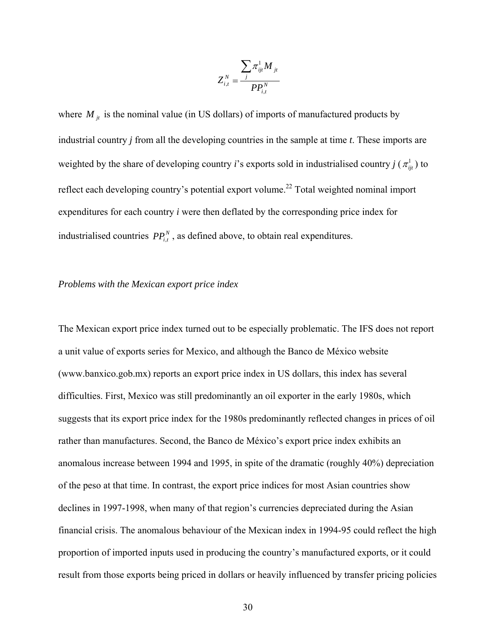$$
Z_{i,t}^N=\frac{\sum_j \pi_{ijt}^1 M_{\phantom{1}jt}}{PP_{i,t}^N}
$$

where  $M_{jt}$  is the nominal value (in US dollars) of imports of manufactured products by industrial country *j* from all the developing countries in the sample at time *t*. These imports are weighted by the share of developing country *i*'s exports sold in industrialised country *j* ( $\pi_{ii}^1$ ) to reflect each developing country's potential export volume.<sup>22</sup> Total weighted nominal import expenditures for each country *i* were then deflated by the corresponding price index for industrialised countries  $PP_{i,t}^N$ , as defined above, to obtain real expenditures.

#### *Problems with the Mexican export price index*

The Mexican export price index turned out to be especially problematic. The IFS does not report a unit value of exports series for Mexico, and although the Banco de México website (www.banxico.gob.mx) reports an export price index in US dollars, this index has several difficulties. First, Mexico was still predominantly an oil exporter in the early 1980s, which suggests that its export price index for the 1980s predominantly reflected changes in prices of oil rather than manufactures. Second, the Banco de México's export price index exhibits an anomalous increase between 1994 and 1995, in spite of the dramatic (roughly 40%) depreciation of the peso at that time. In contrast, the export price indices for most Asian countries show declines in 1997-1998, when many of that region's currencies depreciated during the Asian financial crisis. The anomalous behaviour of the Mexican index in 1994-95 could reflect the high proportion of imported inputs used in producing the country's manufactured exports, or it could result from those exports being priced in dollars or heavily influenced by transfer pricing policies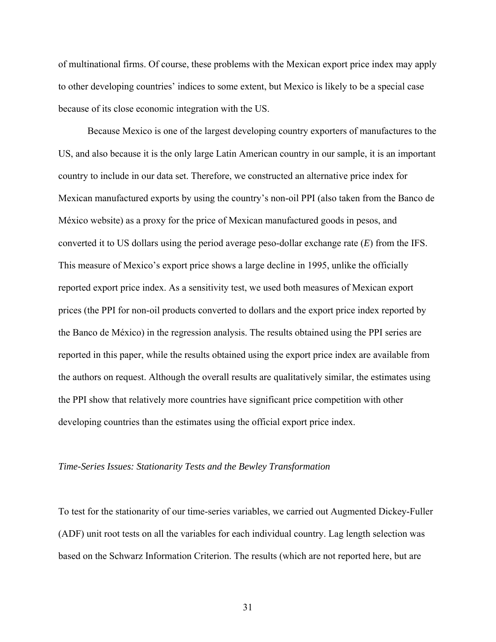of multinational firms. Of course, these problems with the Mexican export price index may apply to other developing countries' indices to some extent, but Mexico is likely to be a special case because of its close economic integration with the US.

 Because Mexico is one of the largest developing country exporters of manufactures to the US, and also because it is the only large Latin American country in our sample, it is an important country to include in our data set. Therefore, we constructed an alternative price index for Mexican manufactured exports by using the country's non-oil PPI (also taken from the Banco de México website) as a proxy for the price of Mexican manufactured goods in pesos, and converted it to US dollars using the period average peso-dollar exchange rate (*E*) from the IFS. This measure of Mexico's export price shows a large decline in 1995, unlike the officially reported export price index. As a sensitivity test, we used both measures of Mexican export prices (the PPI for non-oil products converted to dollars and the export price index reported by the Banco de México) in the regression analysis. The results obtained using the PPI series are reported in this paper, while the results obtained using the export price index are available from the authors on request. Although the overall results are qualitatively similar, the estimates using the PPI show that relatively more countries have significant price competition with other developing countries than the estimates using the official export price index.

#### *Time-Series Issues: Stationarity Tests and the Bewley Transformation*

To test for the stationarity of our time-series variables, we carried out Augmented Dickey-Fuller (ADF) unit root tests on all the variables for each individual country. Lag length selection was based on the Schwarz Information Criterion. The results (which are not reported here, but are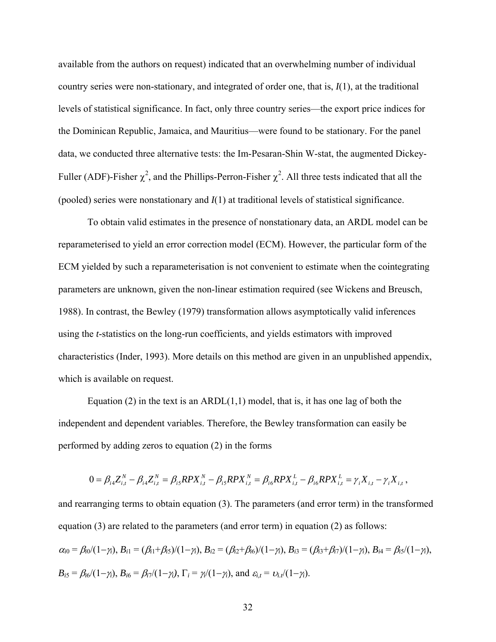available from the authors on request) indicated that an overwhelming number of individual country series were non-stationary, and integrated of order one, that is, *I*(1), at the traditional levels of statistical significance. In fact, only three country series—the export price indices for the Dominican Republic, Jamaica, and Mauritius—were found to be stationary. For the panel data, we conducted three alternative tests: the Im-Pesaran-Shin W-stat, the augmented Dickey-Fuller (ADF)-Fisher  $\chi^2$ , and the Phillips-Perron-Fisher  $\chi^2$ . All three tests indicated that all the (pooled) series were nonstationary and *I*(1) at traditional levels of statistical significance.

 To obtain valid estimates in the presence of nonstationary data, an ARDL model can be reparameterised to yield an error correction model (ECM). However, the particular form of the ECM yielded by such a reparameterisation is not convenient to estimate when the cointegrating parameters are unknown, given the non-linear estimation required (see Wickens and Breusch, 1988). In contrast, the Bewley (1979) transformation allows asymptotically valid inferences using the *t*-statistics on the long-run coefficients, and yields estimators with improved characteristics (Inder, 1993). More details on this method are given in an unpublished appendix, which is available on request.

Equation (2) in the text is an ARDL $(1,1)$  model, that is, it has one lag of both the independent and dependent variables. Therefore, the Bewley transformation can easily be performed by adding zeros to equation (2) in the forms

$$
0 = \beta_{i4} Z_{i,t}^N - \beta_{i4} Z_{i,t}^N = \beta_{i5} R P X_{i,t}^N - \beta_{i5} R P X_{i,t}^N = \beta_{i6} R P X_{i,t}^L - \beta_{i6} R P X_{i,t}^L = \gamma_i X_{i,t} - \gamma_i X_{i,t},
$$

and rearranging terms to obtain equation (3). The parameters (and error term) in the transformed equation (3) are related to the parameters (and error term) in equation (2) as follows:  $\alpha_{i0} = \beta_{i0}/(1-\gamma_i)$ ,  $B_{i1} = (\beta_{i1}+\beta_{i5})/(1-\gamma_i)$ ,  $B_{i2} = (\beta_{i2}+\beta_{i6})/(1-\gamma_i)$ ,  $B_{i3} = (\beta_{i3}+\beta_{i7})/(1-\gamma_i)$ ,  $B_{i4} = \beta_{i5}/(1-\gamma_i)$ ,  $B_{i5} = \beta_{i6}/(1-\gamma_i)$ ,  $B_{i6} = \beta_{i7}/(1-\gamma_i)$ ,  $\Gamma_i = \gamma_i/(1-\gamma_i)$ , and  $\varepsilon_{i,t} = \nu_{i,t}/(1-\gamma_i)$ .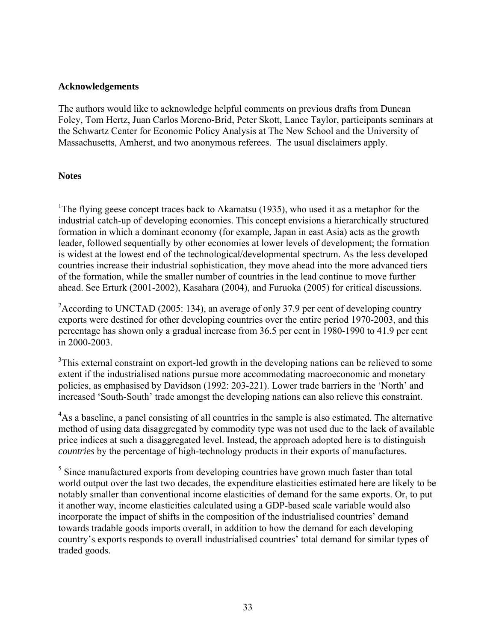#### **Acknowledgements**

The authors would like to acknowledge helpful comments on previous drafts from Duncan Foley, Tom Hertz, Juan Carlos Moreno-Brid, Peter Skott, Lance Taylor, participants seminars at the Schwartz Center for Economic Policy Analysis at The New School and the University of Massachusetts, Amherst, and two anonymous referees. The usual disclaimers apply.

#### **Notes**

<sup>1</sup>The flying geese concept traces back to Akamatsu (1935), who used it as a metaphor for the industrial catch-up of developing economies. This concept envisions a hierarchically structured formation in which a dominant economy (for example, Japan in east Asia) acts as the growth leader, followed sequentially by other economies at lower levels of development; the formation is widest at the lowest end of the technological/developmental spectrum. As the less developed countries increase their industrial sophistication, they move ahead into the more advanced tiers of the formation, while the smaller number of countries in the lead continue to move further ahead. See Erturk (2001-2002), Kasahara (2004), and Furuoka (2005) for critical discussions.

<sup>2</sup> According to UNCTAD (2005: 134), an average of only 37.9 per cent of developing country exports were destined for other developing countries over the entire period 1970-2003, and this percentage has shown only a gradual increase from 36.5 per cent in 1980-1990 to 41.9 per cent in 2000-2003.

 $3$ This external constraint on export-led growth in the developing nations can be relieved to some extent if the industrialised nations pursue more accommodating macroeconomic and monetary policies, as emphasised by Davidson (1992: 203-221). Lower trade barriers in the 'North' and increased 'South-South' trade amongst the developing nations can also relieve this constraint.

<sup>4</sup>As a baseline, a panel consisting of all countries in the sample is also estimated. The alternative method of using data disaggregated by commodity type was not used due to the lack of available price indices at such a disaggregated level. Instead, the approach adopted here is to distinguish *countries* by the percentage of high-technology products in their exports of manufactures.

<sup>5</sup> Since manufactured exports from developing countries have grown much faster than total world output over the last two decades, the expenditure elasticities estimated here are likely to be notably smaller than conventional income elasticities of demand for the same exports. Or, to put it another way, income elasticities calculated using a GDP-based scale variable would also incorporate the impact of shifts in the composition of the industrialised countries' demand towards tradable goods imports overall, in addition to how the demand for each developing country's exports responds to overall industrialised countries' total demand for similar types of traded goods.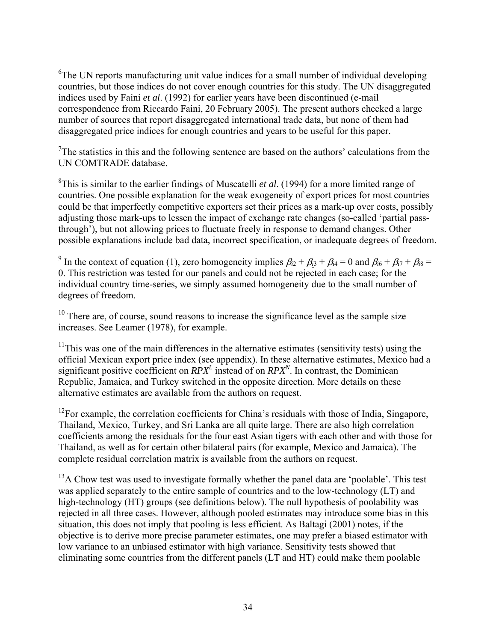<sup>6</sup>The UN reports manufacturing unit value indices for a small number of individual developing countries, but those indices do not cover enough countries for this study. The UN disaggregated indices used by Faini *et al*. (1992) for earlier years have been discontinued (e-mail correspondence from Riccardo Faini, 20 February 2005). The present authors checked a large number of sources that report disaggregated international trade data, but none of them had disaggregated price indices for enough countries and years to be useful for this paper.

 $7$ The statistics in this and the following sentence are based on the authors' calculations from the UN COMTRADE database.

8 This is similar to the earlier findings of Muscatelli *et al*. (1994) for a more limited range of countries. One possible explanation for the weak exogeneity of export prices for most countries could be that imperfectly competitive exporters set their prices as a mark-up over costs, possibly adjusting those mark-ups to lessen the impact of exchange rate changes (so-called 'partial passthrough'), but not allowing prices to fluctuate freely in response to demand changes. Other possible explanations include bad data, incorrect specification, or inadequate degrees of freedom.

<sup>9</sup> In the context of equation (1), zero homogeneity implies  $\beta_{i2} + \beta_{i3} + \beta_{i4} = 0$  and  $\beta_{i6} + \beta_{i7} + \beta_{i8} =$ 0. This restriction was tested for our panels and could not be rejected in each case; for the individual country time-series, we simply assumed homogeneity due to the small number of degrees of freedom.

 $10$  There are, of course, sound reasons to increase the significance level as the sample size increases. See Leamer (1978), for example.

 $11$ This was one of the main differences in the alternative estimates (sensitivity tests) using the official Mexican export price index (see appendix). In these alternative estimates, Mexico had a significant positive coefficient on  $RPX<sup>L</sup>$  instead of on  $RPX<sup>N</sup>$ . In contrast, the Dominican Republic, Jamaica, and Turkey switched in the opposite direction. More details on these alternative estimates are available from the authors on request.

<sup>12</sup>For example, the correlation coefficients for China's residuals with those of India, Singapore, Thailand, Mexico, Turkey, and Sri Lanka are all quite large. There are also high correlation coefficients among the residuals for the four east Asian tigers with each other and with those for Thailand, as well as for certain other bilateral pairs (for example, Mexico and Jamaica). The complete residual correlation matrix is available from the authors on request.

 $<sup>13</sup>A$  Chow test was used to investigate formally whether the panel data are 'poolable'. This test</sup> was applied separately to the entire sample of countries and to the low-technology (LT) and high-technology (HT) groups (see definitions below). The null hypothesis of poolability was rejected in all three cases. However, although pooled estimates may introduce some bias in this situation, this does not imply that pooling is less efficient. As Baltagi (2001) notes, if the objective is to derive more precise parameter estimates, one may prefer a biased estimator with low variance to an unbiased estimator with high variance. Sensitivity tests showed that eliminating some countries from the different panels (LT and HT) could make them poolable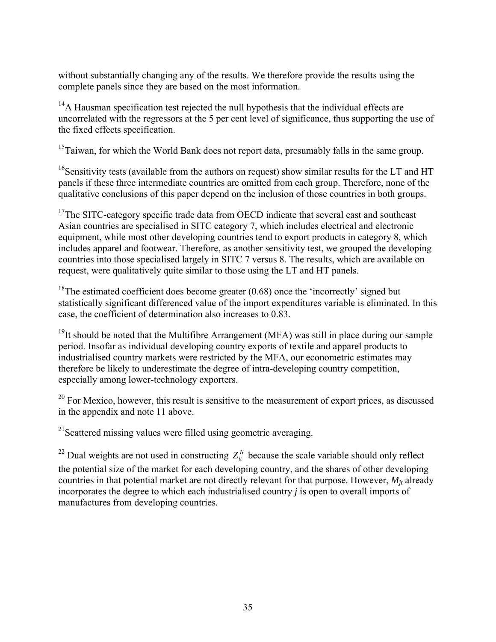without substantially changing any of the results. We therefore provide the results using the complete panels since they are based on the most information.

 $14A$  Hausman specification test rejected the null hypothesis that the individual effects are uncorrelated with the regressors at the 5 per cent level of significance, thus supporting the use of the fixed effects specification.

<sup>15</sup>Taiwan, for which the World Bank does not report data, presumably falls in the same group.

<sup>16</sup>Sensitivity tests (available from the authors on request) show similar results for the LT and HT panels if these three intermediate countries are omitted from each group. Therefore, none of the qualitative conclusions of this paper depend on the inclusion of those countries in both groups.

<sup>17</sup>The SITC-category specific trade data from OECD indicate that several east and southeast Asian countries are specialised in SITC category 7, which includes electrical and electronic equipment, while most other developing countries tend to export products in category 8, which includes apparel and footwear. Therefore, as another sensitivity test, we grouped the developing countries into those specialised largely in SITC 7 versus 8. The results, which are available on request, were qualitatively quite similar to those using the LT and HT panels.

<sup>18</sup>The estimated coefficient does become greater  $(0.68)$  once the 'incorrectly' signed but statistically significant differenced value of the import expenditures variable is eliminated. In this case, the coefficient of determination also increases to 0.83.

<sup>19</sup>It should be noted that the Multifibre Arrangement (MFA) was still in place during our sample period. Insofar as individual developing country exports of textile and apparel products to industrialised country markets were restricted by the MFA, our econometric estimates may therefore be likely to underestimate the degree of intra-developing country competition, especially among lower-technology exporters.

 $20$  For Mexico, however, this result is sensitive to the measurement of export prices, as discussed in the appendix and note 11 above.

<sup>21</sup>Scattered missing values were filled using geometric averaging.

<sup>22</sup> Dual weights are not used in constructing  $Z_i^N$  because the scale variable should only reflect the potential size of the market for each developing country, and the shares of other developing countries in that potential market are not directly relevant for that purpose. However,  $M_{it}$  already incorporates the degree to which each industrialised country *j* is open to overall imports of manufactures from developing countries.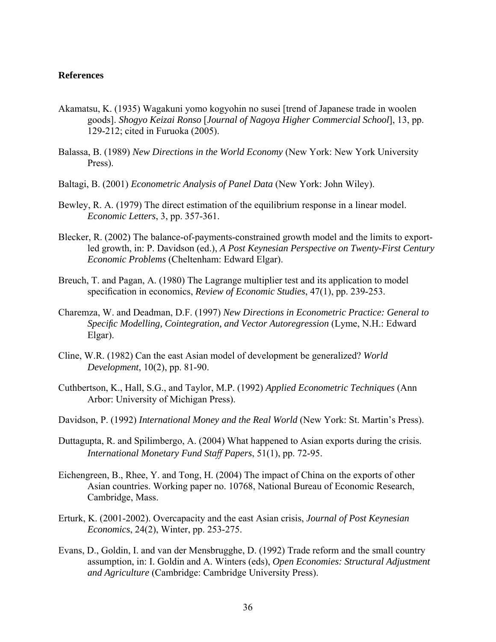#### **References**

- Akamatsu, K. (1935) Wagakuni yomo kogyohin no susei [trend of Japanese trade in woolen goods]. *Shogyo Keizai Ronso* [*Journal of Nagoya Higher Commercial School*], 13, pp. 129-212; cited in Furuoka (2005).
- Balassa, B. (1989) *New Directions in the World Economy* (New York: New York University Press).
- Baltagi, B. (2001) *Econometric Analysis of Panel Data* (New York: John Wiley).
- Bewley, R. A. (1979) The direct estimation of the equilibrium response in a linear model. *Economic Letters*, 3, pp. 357-361.
- Blecker, R. (2002) The balance-of-payments-constrained growth model and the limits to exportled growth, in: P. Davidson (ed.), *A Post Keynesian Perspective on Twenty-First Century Economic Problems* (Cheltenham: Edward Elgar).
- Breuch, T. and Pagan, A. (1980) The Lagrange multiplier test and its application to model specification in economics, *Review of Economic Studies*, 47(1), pp. 239-253.
- Charemza, W. and Deadman, D.F. (1997) *New Directions in Econometric Practice: General to Specific Modelling, Cointegration, and Vector Autoregression* (Lyme, N.H.: Edward Elgar).
- Cline, W.R. (1982) Can the east Asian model of development be generalized? *World Development*, 10(2), pp. 81-90.
- Cuthbertson, K., Hall, S.G., and Taylor, M.P. (1992) *Applied Econometric Techniques* (Ann Arbor: University of Michigan Press).
- Davidson, P. (1992) *International Money and the Real World* (New York: St. Martin's Press).
- Duttagupta, R. and Spilimbergo, A. (2004) What happened to Asian exports during the crisis. *International Monetary Fund Staff Papers*, 51(1), pp. 72-95.
- Eichengreen, B., Rhee, Y. and Tong, H. (2004) The impact of China on the exports of other Asian countries. Working paper no. 10768, National Bureau of Economic Research, Cambridge, Mass.
- Erturk, K. (2001-2002). Overcapacity and the east Asian crisis, *Journal of Post Keynesian Economics*, 24(2), Winter, pp. 253-275.
- Evans, D., Goldin, I. and van der Mensbrugghe, D. (1992) Trade reform and the small country assumption, in: I. Goldin and A. Winters (eds), *Open Economies: Structural Adjustment and Agriculture* (Cambridge: Cambridge University Press).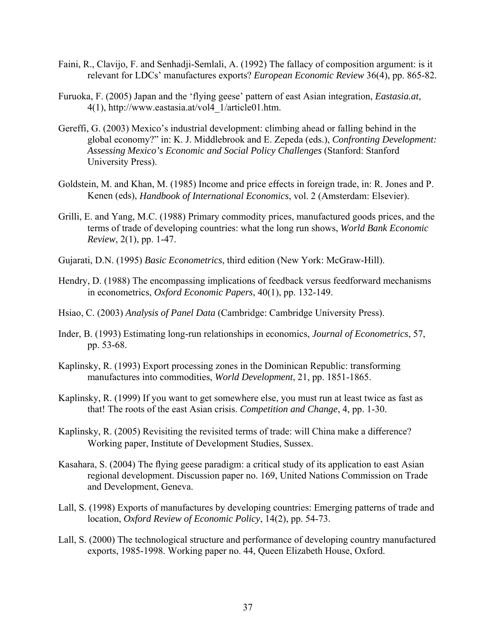- Faini, R., Clavijo, F. and Senhadji-Semlali, A. (1992) The fallacy of composition argument: is it relevant for LDCs' manufactures exports? *European Economic Review* 36(4), pp. 865-82.
- Furuoka, F. (2005) Japan and the 'flying geese' pattern of east Asian integration, *Eastasia.at*, 4(1), http://www.eastasia.at/vol4\_1/article01.htm.
- Gereffi, G. (2003) Mexico's industrial development: climbing ahead or falling behind in the global economy?" in: K. J. Middlebrook and E. Zepeda (eds.), *Confronting Development: Assessing Mexico's Economic and Social Policy Challenges* (Stanford: Stanford University Press).
- Goldstein, M. and Khan, M. (1985) Income and price effects in foreign trade, in: R. Jones and P. Kenen (eds), *Handbook of International Economics*, vol. 2 (Amsterdam: Elsevier).
- Grilli, E. and Yang, M.C. (1988) Primary commodity prices, manufactured goods prices, and the terms of trade of developing countries: what the long run shows, *World Bank Economic Review*, 2(1), pp. 1-47.
- Gujarati, D.N. (1995) *Basic Econometrics*, third edition (New York: McGraw-Hill).
- Hendry, D. (1988) The encompassing implications of feedback versus feedforward mechanisms in econometrics, *Oxford Economic Papers*, 40(1), pp. 132-149.
- Hsiao, C. (2003) *Analysis of Panel Data* (Cambridge: Cambridge University Press).
- Inder, B. (1993) Estimating long-run relationships in economics, *Journal of Econometrics*, 57, pp. 53-68.
- Kaplinsky, R. (1993) Export processing zones in the Dominican Republic: transforming manufactures into commodities, *World Development*, 21, pp. 1851-1865.
- Kaplinsky, R. (1999) If you want to get somewhere else, you must run at least twice as fast as that! The roots of the east Asian crisis. *Competition and Change*, 4, pp. 1-30.
- Kaplinsky, R. (2005) Revisiting the revisited terms of trade: will China make a difference? Working paper, Institute of Development Studies, Sussex.
- Kasahara, S. (2004) The flying geese paradigm: a critical study of its application to east Asian regional development. Discussion paper no. 169, United Nations Commission on Trade and Development, Geneva.
- Lall, S. (1998) Exports of manufactures by developing countries: Emerging patterns of trade and location, *Oxford Review of Economic Policy*, 14(2), pp. 54-73.
- Lall, S. (2000) The technological structure and performance of developing country manufactured exports, 1985-1998. Working paper no. 44, Queen Elizabeth House, Oxford.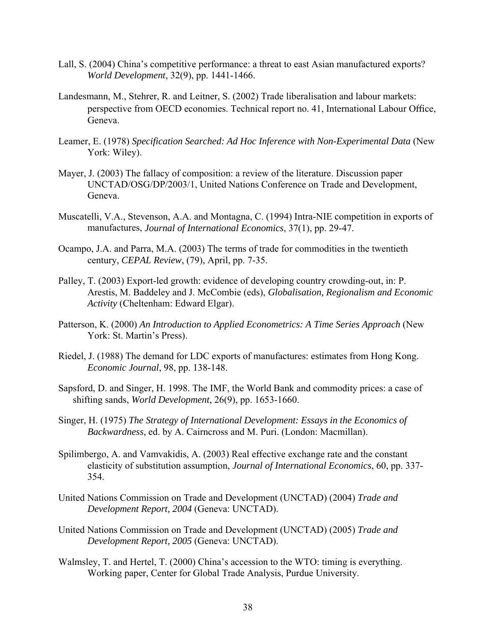- Lall, S. (2004) China's competitive performance: a threat to east Asian manufactured exports? *World Development*, 32(9), pp. 1441-1466.
- Landesmann, M., Stehrer, R. and Leitner, S. (2002) Trade liberalisation and labour markets: perspective from OECD economies. Technical report no. 41, International Labour Office, Geneva.
- Leamer, E. (1978) *Specification Searched: Ad Hoc Inference with Non-Experimental Data* (New York: Wiley).
- Mayer, J. (2003) The fallacy of composition: a review of the literature. Discussion paper UNCTAD/OSG/DP/2003/1, United Nations Conference on Trade and Development, Geneva.
- Muscatelli, V.A., Stevenson, A.A. and Montagna, C. (1994) Intra-NIE competition in exports of manufactures, *Journal of International Economics*, 37(1), pp. 29-47.
- Ocampo, J.A. and Parra, M.A. (2003) The terms of trade for commodities in the twentieth century, *CEPAL Review*, (79), April, pp. 7-35.
- Palley, T. (2003) Export-led growth: evidence of developing country crowding-out, in: P. Arestis, M. Baddeley and J. McCombie (eds), *Globalisation, Regionalism and Economic Activity* (Cheltenham: Edward Elgar).
- Patterson, K. (2000) *An Introduction to Applied Econometrics: A Time Series Approach* (New York: St. Martin's Press).
- Riedel, J. (1988) The demand for LDC exports of manufactures: estimates from Hong Kong. *Economic Journal*, 98, pp. 138-148.
- Sapsford, D. and Singer, H. 1998. The IMF, the World Bank and commodity prices: a case of shifting sands, *World Development*, 26(9), pp. 1653-1660.
- Singer, H. (1975) *The Strategy of International Development: Essays in the Economics of Backwardness*, ed. by A. Cairncross and M. Puri. (London: Macmillan).
- Spilimbergo, A. and Vamvakidis, A. (2003) Real effective exchange rate and the constant elasticity of substitution assumption, *Journal of International Economics*, 60, pp. 337- 354.
- United Nations Commission on Trade and Development (UNCTAD) (2004) *Trade and Development Report, 2004* (Geneva: UNCTAD).
- United Nations Commission on Trade and Development (UNCTAD) (2005) *Trade and Development Report, 2005* (Geneva: UNCTAD).
- Walmsley, T. and Hertel, T. (2000) China's accession to the WTO: timing is everything. Working paper, Center for Global Trade Analysis, Purdue University.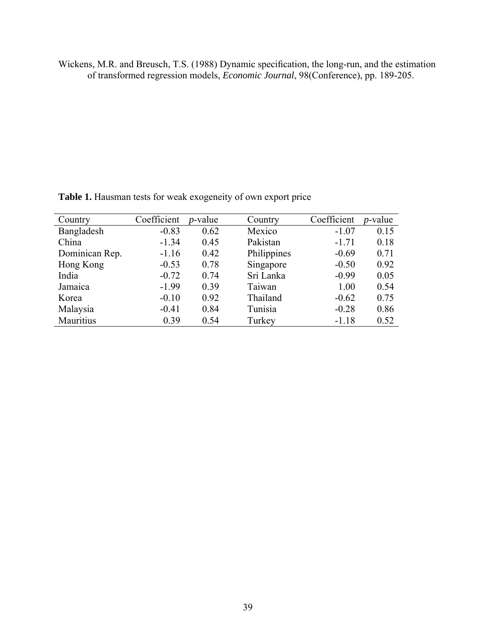Wickens, M.R. and Breusch, T.S. (1988) Dynamic specification, the long-run, and the estimation of transformed regression models, *Economic Journal*, 98(Conference), pp. 189-205.

| Country        | Coefficient | $p$ -value | Country     | Coefficient | <i>p</i> -value |
|----------------|-------------|------------|-------------|-------------|-----------------|
| Bangladesh     | $-0.83$     | 0.62       | Mexico      | $-1.07$     | 0.15            |
| China          | $-1.34$     | 0.45       | Pakistan    | $-1.71$     | 0.18            |
| Dominican Rep. | $-1.16$     | 0.42       | Philippines | $-0.69$     | 0.71            |
| Hong Kong      | $-0.53$     | 0.78       | Singapore   | $-0.50$     | 0.92            |
| India          | $-0.72$     | 0.74       | Sri Lanka   | $-0.99$     | 0.05            |
| Jamaica        | $-1.99$     | 0.39       | Taiwan      | 1.00        | 0.54            |
| Korea          | $-0.10$     | 0.92       | Thailand    | $-0.62$     | 0.75            |
| Malaysia       | $-0.41$     | 0.84       | Tunisia     | $-0.28$     | 0.86            |
| Mauritius      | 0.39        | 0.54       | Turkey      | $-1.18$     | 0.52            |

**Table 1.** Hausman tests for weak exogeneity of own export price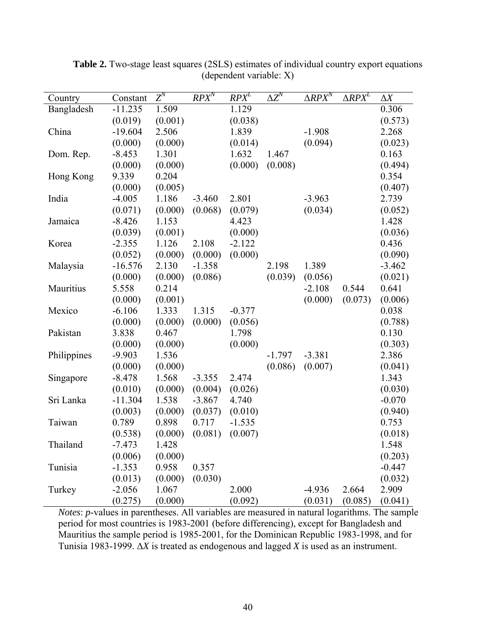| Country     | Constant  | $Z^N$   | $RP\overline{X}^N$ | $RPX^L$  | $\Delta \overline{Z}^N$ | $\triangle RP\overline{X}^N$ | $\triangle RP\overline{X^L}$ | $\Delta X$ |
|-------------|-----------|---------|--------------------|----------|-------------------------|------------------------------|------------------------------|------------|
| Bangladesh  | $-11.235$ | 1.509   |                    | 1.129    |                         |                              |                              | 0.306      |
|             | (0.019)   | (0.001) |                    | (0.038)  |                         |                              |                              | (0.573)    |
| China       | $-19.604$ | 2.506   |                    | 1.839    |                         | $-1.908$                     |                              | 2.268      |
|             | (0.000)   | (0.000) |                    | (0.014)  |                         | (0.094)                      |                              | (0.023)    |
| Dom. Rep.   | $-8.453$  | 1.301   |                    | 1.632    | 1.467                   |                              |                              | 0.163      |
|             | (0.000)   | (0.000) |                    | (0.000)  | (0.008)                 |                              |                              | (0.494)    |
| Hong Kong   | 9.339     | 0.204   |                    |          |                         |                              |                              | 0.354      |
|             | (0.000)   | (0.005) |                    |          |                         |                              |                              | (0.407)    |
| India       | $-4.005$  | 1.186   | $-3.460$           | 2.801    |                         | $-3.963$                     |                              | 2.739      |
|             | (0.071)   | (0.000) | (0.068)            | (0.079)  |                         | (0.034)                      |                              | (0.052)    |
| Jamaica     | $-8.426$  | 1.153   |                    | 4.423    |                         |                              |                              | 1.428      |
|             | (0.039)   | (0.001) |                    | (0.000)  |                         |                              |                              | (0.036)    |
| Korea       | $-2.355$  | 1.126   | 2.108              | $-2.122$ |                         |                              |                              | 0.436      |
|             | (0.052)   | (0.000) | (0.000)            | (0.000)  |                         |                              |                              | (0.090)    |
| Malaysia    | $-16.576$ | 2.130   | $-1.358$           |          | 2.198                   | 1.389                        |                              | $-3.462$   |
|             | (0.000)   | (0.000) | (0.086)            |          | (0.039)                 | (0.056)                      |                              | (0.021)    |
| Mauritius   | 5.558     | 0.214   |                    |          |                         | $-2.108$                     | 0.544                        | 0.641      |
|             | (0.000)   | (0.001) |                    |          |                         | (0.000)                      | (0.073)                      | (0.006)    |
| Mexico      | $-6.106$  | 1.333   | 1.315              | $-0.377$ |                         |                              |                              | 0.038      |
|             | (0.000)   | (0.000) | (0.000)            | (0.056)  |                         |                              |                              | (0.788)    |
| Pakistan    | 3.838     | 0.467   |                    | 1.798    |                         |                              |                              | 0.130      |
|             | (0.000)   | (0.000) |                    | (0.000)  |                         |                              |                              | (0.303)    |
| Philippines | $-9.903$  | 1.536   |                    |          | $-1.797$                | $-3.381$                     |                              | 2.386      |
|             | (0.000)   | (0.000) |                    |          | (0.086)                 | (0.007)                      |                              | (0.041)    |
| Singapore   | $-8.478$  | 1.568   | $-3.355$           | 2.474    |                         |                              |                              | 1.343      |
|             | (0.010)   | (0.000) | (0.004)            | (0.026)  |                         |                              |                              | (0.030)    |
| Sri Lanka   | $-11.304$ | 1.538   | $-3.867$           | 4.740    |                         |                              |                              | $-0.070$   |
|             | (0.003)   | (0.000) | (0.037)            | (0.010)  |                         |                              |                              | (0.940)    |
| Taiwan      | 0.789     | 0.898   | 0.717              | $-1.535$ |                         |                              |                              | 0.753      |
|             | (0.538)   | (0.000) | (0.081)            | (0.007)  |                         |                              |                              | (0.018)    |
| Thailand    | $-7.473$  | 1.428   |                    |          |                         |                              |                              | 1.548      |
|             | (0.006)   | (0.000) |                    |          |                         |                              |                              | (0.203)    |
| Tunisia     | $-1.353$  | 0.958   | 0.357              |          |                         |                              |                              | $-0.447$   |
|             | (0.013)   | (0.000) | (0.030)            |          |                         |                              |                              | (0.032)    |
| Turkey      | $-2.056$  | 1.067   |                    | 2.000    |                         | $-4.936$                     | 2.664                        | 2.909      |
|             | (0.275)   | (0.000) |                    | (0.092)  |                         | (0.031)                      | (0.085)                      | (0.041)    |

Table 2. Two-stage least squares (2SLS) estimates of individual country export equations (dependent variable: X)

*Notes*: *p*-values in parentheses. All variables are measured in natural logarithms. The sample period for most countries is 1983-2001 (before differencing), except for Bangladesh and Mauritius the sample period is 1985-2001, for the Dominican Republic 1983-1998, and for Tunisia 1983-1999. ∆*X* is treated as endogenous and lagged *X* is used as an instrument.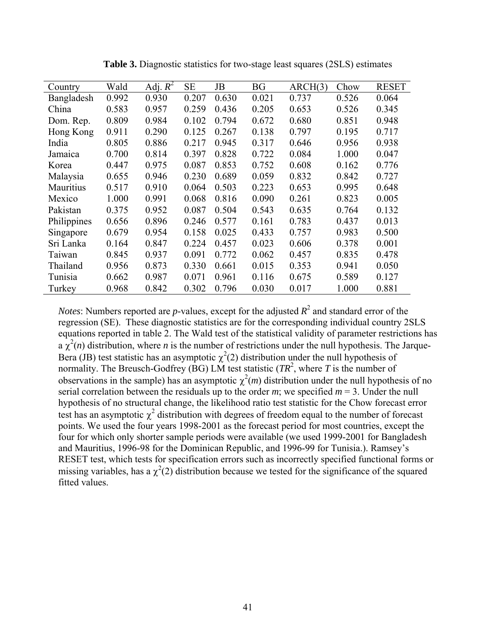| Country     | Wald  | Adj. $R^2$ | <b>SE</b> | JB    | <b>BG</b> | ARCH(3) | Chow  | <b>RESET</b> |
|-------------|-------|------------|-----------|-------|-----------|---------|-------|--------------|
| Bangladesh  | 0.992 | 0.930      | 0.207     | 0.630 | 0.021     | 0.737   | 0.526 | 0.064        |
| China       | 0.583 | 0.957      | 0.259     | 0.436 | 0.205     | 0.653   | 0.526 | 0.345        |
| Dom. Rep.   | 0.809 | 0.984      | 0.102     | 0.794 | 0.672     | 0.680   | 0.851 | 0.948        |
| Hong Kong   | 0.911 | 0.290      | 0.125     | 0.267 | 0.138     | 0.797   | 0.195 | 0.717        |
| India       | 0.805 | 0.886      | 0.217     | 0.945 | 0.317     | 0.646   | 0.956 | 0.938        |
| Jamaica     | 0.700 | 0.814      | 0.397     | 0.828 | 0.722     | 0.084   | 1.000 | 0.047        |
| Korea       | 0.447 | 0.975      | 0.087     | 0.853 | 0.752     | 0.608   | 0.162 | 0.776        |
| Malaysia    | 0.655 | 0.946      | 0.230     | 0.689 | 0.059     | 0.832   | 0.842 | 0.727        |
| Mauritius   | 0.517 | 0.910      | 0.064     | 0.503 | 0.223     | 0.653   | 0.995 | 0.648        |
| Mexico      | 1.000 | 0.991      | 0.068     | 0.816 | 0.090     | 0.261   | 0.823 | 0.005        |
| Pakistan    | 0.375 | 0.952      | 0.087     | 0.504 | 0.543     | 0.635   | 0.764 | 0.132        |
| Philippines | 0.656 | 0.896      | 0.246     | 0.577 | 0.161     | 0.783   | 0.437 | 0.013        |
| Singapore   | 0.679 | 0.954      | 0.158     | 0.025 | 0.433     | 0.757   | 0.983 | 0.500        |
| Sri Lanka   | 0.164 | 0.847      | 0.224     | 0.457 | 0.023     | 0.606   | 0.378 | 0.001        |
| Taiwan      | 0.845 | 0.937      | 0.091     | 0.772 | 0.062     | 0.457   | 0.835 | 0.478        |
| Thailand    | 0.956 | 0.873      | 0.330     | 0.661 | 0.015     | 0.353   | 0.941 | 0.050        |
| Tunisia     | 0.662 | 0.987      | 0.071     | 0.961 | 0.116     | 0.675   | 0.589 | 0.127        |
| Turkey      | 0.968 | 0.842      | 0.302     | 0.796 | 0.030     | 0.017   | 1.000 | 0.881        |

**Table 3.** Diagnostic statistics for two-stage least squares (2SLS) estimates

*Notes*: Numbers reported are *p*-values, except for the adjusted  $R^2$  and standard error of the regression (SE). These diagnostic statistics are for the corresponding individual country 2SLS equations reported in table 2. The Wald test of the statistical validity of parameter restrictions has a  $\chi^2(n)$  distribution, where *n* is the number of restrictions under the null hypothesis. The Jarque-Bera (JB) test statistic has an asymptotic  $\chi^2(2)$  distribution under the null hypothesis of normality. The Breusch-Godfrey (BG) LM test statistic  $(TR^2)$ , where T is the number of observations in the sample) has an asymptotic  $\chi^2(m)$  distribution under the null hypothesis of no serial correlation between the residuals up to the order *m*; we specified  $m = 3$ . Under the null hypothesis of no structural change, the likelihood ratio test statistic for the Chow forecast error test has an asymptotic  $\chi^2$  distribution with degrees of freedom equal to the number of forecast points. We used the four years 1998-2001 as the forecast period for most countries, except the four for which only shorter sample periods were available (we used 1999-2001 for Bangladesh and Mauritius, 1996-98 for the Dominican Republic, and 1996-99 for Tunisia.). Ramsey's RESET test, which tests for specification errors such as incorrectly specified functional forms or missing variables, has a  $\chi^2(2)$  distribution because we tested for the significance of the squared fitted values.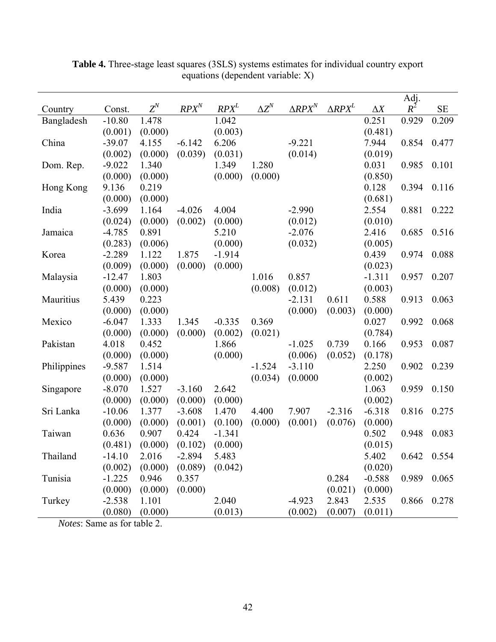|             |          |         |                  |          |              |                   |                              |            | Adj.        |           |
|-------------|----------|---------|------------------|----------|--------------|-------------------|------------------------------|------------|-------------|-----------|
| Country     | Const.   | $Z^N$   | RPX <sup>N</sup> | $RPX^L$  | $\Delta Z^N$ | $\triangle RPX^N$ | $\triangle$ RPX <sup>L</sup> | $\Delta X$ | $R^2$       | <b>SE</b> |
| Bangladesh  | $-10.80$ | 1.478   |                  | 1.042    |              |                   |                              | 0.251      | 0.929       | 0.209     |
|             | (0.001)  | (0.000) |                  | (0.003)  |              |                   |                              | (0.481)    |             |           |
| China       | $-39.07$ | 4.155   | $-6.142$         | 6.206    |              | $-9.221$          |                              | 7.944      | 0.854       | 0.477     |
|             | (0.002)  | (0.000) | (0.039)          | (0.031)  |              | (0.014)           |                              | (0.019)    |             |           |
| Dom. Rep.   | $-9.022$ | 1.340   |                  | 1.349    | 1.280        |                   |                              | 0.031      | 0.985       | 0.101     |
|             | (0.000)  | (0.000) |                  | (0.000)  | (0.000)      |                   |                              | (0.850)    |             |           |
| Hong Kong   | 9.136    | 0.219   |                  |          |              |                   |                              | 0.128      | 0.394       | 0.116     |
|             | (0.000)  | (0.000) |                  |          |              |                   |                              | (0.681)    |             |           |
| India       | $-3.699$ | 1.164   | $-4.026$         | 4.004    |              | $-2.990$          |                              | 2.554      | 0.881       | 0.222     |
|             | (0.024)  | (0.000) | (0.002)          | (0.000)  |              | (0.012)           |                              | (0.010)    |             |           |
| Jamaica     | $-4.785$ | 0.891   |                  | 5.210    |              | $-2.076$          |                              | 2.416      | 0.685       | 0.516     |
|             | (0.283)  | (0.006) |                  | (0.000)  |              | (0.032)           |                              | (0.005)    |             |           |
| Korea       | $-2.289$ | 1.122   | 1.875            | $-1.914$ |              |                   |                              | 0.439      | 0.974       | 0.088     |
|             | (0.009)  | (0.000) | (0.000)          | (0.000)  |              |                   |                              | (0.023)    |             |           |
| Malaysia    | $-12.47$ | 1.803   |                  |          | 1.016        | 0.857             |                              | $-1.311$   | 0.957       | 0.207     |
|             | (0.000)  | (0.000) |                  |          | (0.008)      | (0.012)           |                              | (0.003)    |             |           |
| Mauritius   | 5.439    | 0.223   |                  |          |              | $-2.131$          | 0.611                        | 0.588      | 0.913       | 0.063     |
|             | (0.000)  | (0.000) |                  |          |              | (0.000)           | (0.003)                      | (0.000)    |             |           |
| Mexico      | $-6.047$ | 1.333   | 1.345            | $-0.335$ | 0.369        |                   |                              | 0.027      | 0.992       | 0.068     |
|             | (0.000)  | (0.000) | (0.000)          | (0.002)  | (0.021)      |                   |                              | (0.784)    |             |           |
| Pakistan    | 4.018    | 0.452   |                  | 1.866    |              | $-1.025$          | 0.739                        | 0.166      | 0.953       | 0.087     |
|             | (0.000)  | (0.000) |                  | (0.000)  |              | (0.006)           | (0.052)                      | (0.178)    |             |           |
| Philippines | $-9.587$ | 1.514   |                  |          | $-1.524$     | $-3.110$          |                              | 2.250      | 0.902       | 0.239     |
|             | (0.000)  | (0.000) |                  |          | (0.034)      | (0.0000)          |                              | (0.002)    |             |           |
| Singapore   | $-8.070$ | 1.527   | $-3.160$         | 2.642    |              |                   |                              | 1.063      | 0.959       | 0.150     |
|             | (0.000)  | (0.000) | (0.000)          | (0.000)  |              |                   |                              | (0.002)    |             |           |
| Sri Lanka   | $-10.06$ | 1.377   | $-3.608$         | 1.470    | 4.400        | 7.907             | $-2.316$                     | $-6.318$   | 0.816       | 0.275     |
|             | (0.000)  | (0.000) | (0.001)          | (0.100)  | (0.000)      | (0.001)           | (0.076)                      | (0.000)    |             |           |
| Taiwan      | 0.636    | 0.907   | 0.424            | $-1.341$ |              |                   |                              | 0.502      | 0.948       | 0.083     |
|             | (0.481)  | (0.000) | (0.102)          | (0.000)  |              |                   |                              | (0.015)    |             |           |
| Thailand    | $-14.10$ | 2.016   | $-2.894$         | 5.483    |              |                   |                              | 5.402      | 0.642 0.554 |           |
|             | (0.002)  | (0.000) | (0.089)          | (0.042)  |              |                   |                              | (0.020)    |             |           |
| Tunisia     | $-1.225$ | 0.946   | 0.357            |          |              |                   | 0.284                        | $-0.588$   | 0.989       | 0.065     |
|             | (0.000)  | (0.000) | (0.000)          |          |              |                   | (0.021)                      | (0.000)    |             |           |
| Turkey      | $-2.538$ | 1.101   |                  | 2.040    |              | $-4.923$          | 2.843                        | 2.535      | 0.866       | 0.278     |
|             | (0.080)  | (0.000) |                  | (0.013)  |              | (0.002)           | (0.007)                      | (0.011)    |             |           |

**Table 4.** Three-stage least squares (3SLS) systems estimates for individual country export equations (dependent variable: X)

*Notes*: Same as for table 2.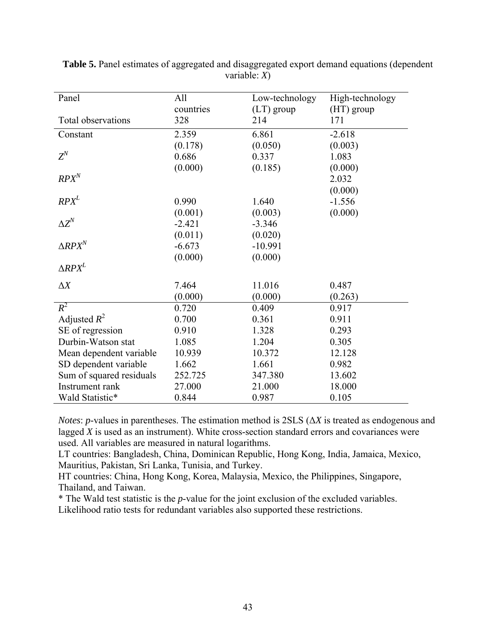| Panel                    | All       | Low-technology | High-technology |
|--------------------------|-----------|----------------|-----------------|
|                          | countries | $(LT)$ group   | $(HT)$ group    |
| Total observations       | 328       | 214            | 171             |
| Constant                 | 2.359     | 6.861          | $-2.618$        |
|                          | (0.178)   | (0.050)        | (0.003)         |
| $Z^N$                    | 0.686     | 0.337          | 1.083           |
|                          | (0.000)   | (0.185)        | (0.000)         |
| RPX <sup>N</sup>         |           |                | 2.032           |
|                          |           |                | (0.000)         |
| $RPX^L$                  | 0.990     | 1.640          | $-1.556$        |
|                          | (0.001)   | (0.003)        | (0.000)         |
| $\Delta Z^N$             | $-2.421$  | $-3.346$       |                 |
|                          | (0.011)   | (0.020)        |                 |
| $\Delta R P X^N$         | $-6.673$  | $-10.991$      |                 |
|                          | (0.000)   | (0.000)        |                 |
| $\Delta R P X^L$         |           |                |                 |
| $\Delta X$               | 7.464     | 11.016         | 0.487           |
|                          | (0.000)   | (0.000)        | (0.263)         |
| $R^2$                    | 0.720     | 0.409          | 0.917           |
| Adjusted $R^2$           | 0.700     | 0.361          | 0.911           |
| SE of regression         | 0.910     | 1.328          | 0.293           |
| Durbin-Watson stat       | 1.085     | 1.204          | 0.305           |
| Mean dependent variable  | 10.939    | 10.372         | 12.128          |
| SD dependent variable    | 1.662     | 1.661          | 0.982           |
| Sum of squared residuals | 252.725   | 347.380        | 13.602          |
| Instrument rank          | 27.000    | 21.000         | 18.000          |
| Wald Statistic*          | 0.844     | 0.987          | 0.105           |

**Table 5.** Panel estimates of aggregated and disaggregated export demand equations (dependent variable: *X*)

*Notes*: *p*-values in parentheses. The estimation method is 2SLS ( $\Delta X$ ) is treated as endogenous and lagged *X* is used as an instrument). White cross-section standard errors and covariances were used. All variables are measured in natural logarithms.

LT countries: Bangladesh, China, Dominican Republic, Hong Kong, India, Jamaica, Mexico, Mauritius, Pakistan, Sri Lanka, Tunisia, and Turkey.

HT countries: China, Hong Kong, Korea, Malaysia, Mexico, the Philippines, Singapore, Thailand, and Taiwan.

\* The Wald test statistic is the *p*-value for the joint exclusion of the excluded variables. Likelihood ratio tests for redundant variables also supported these restrictions.